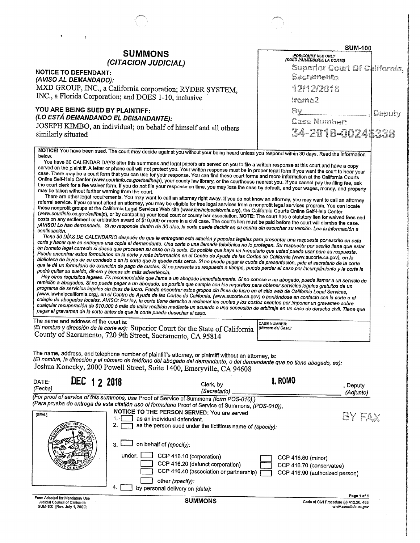|                                                                                                                                                                                                                                                                                                                                                                                                                                                                    | <b>SUM-100</b>                                                                                                                         |        |
|--------------------------------------------------------------------------------------------------------------------------------------------------------------------------------------------------------------------------------------------------------------------------------------------------------------------------------------------------------------------------------------------------------------------------------------------------------------------|----------------------------------------------------------------------------------------------------------------------------------------|--------|
| <b>SUMMONS</b><br>(CITACION JUDICIAL)<br><b>NOTICE TO DEFENDANT:</b><br>(AVISO AL DEMANDADO):<br>MXD GROUP, INC., a California corporation; RYDER SYSTEM,<br>INC., a Florida Corporation; and DOES 1-10, inclusive                                                                                                                                                                                                                                                 | <b>FOR COURT USE ONLY</b><br>(SOLO PARA USO DE LA CORTE)<br><b>Superior Court Of California,</b><br>Sacramento<br>12/12/2018<br>irama2 |        |
| YOU ARE BEING SUED BY PLAINTIFF:<br>(LO ESTÁ DEMANDANDO EL DEMANDANTE):<br>JOSEPH KIMBO, an individual; on behalf of himself and all others<br>similarly situated                                                                                                                                                                                                                                                                                                  | <u>Bv</u><br>Case Number:<br>34-2018-00246338                                                                                          | Deputy |
| NOTICE! You have been sued. The court may decide against you without your being heard unless you respond within 30 days. Read the information<br>below.<br>You have 30 CALENDAR DAYS after this summons and legal papers are served on you to file a written response at this court and have a copy<br>served on the plaintiff. A letter or phone call will not protect you. Your written response must be in proper legal form if you want the court to hear your |                                                                                                                                        |        |

ase. There may be a court form that you can use for your response. You can find these court forms and more information at the California Courts Case. There may be a court form that you can doo for your responser for darring and to court forms and more information at the bumbine board. the court clerk for a fee waiver form. If you do not file your response on time, you may lose the case by default, and your wages, money, and property may be taken without further warning from the court. There are other legal requirements. You may want to call an attorney right away. If you do not know an attorney, you may want to call an attorney

reported in the California Legal Services Web site (www.lawhelpcalifornia.org), the California Courts and according to the Preferral services program. You can locate<br>these nonprofit groups at the California Legal Services (www.courtinfo.ca.gov/selfhelp), or by contacting your local court or county bar association. NOTE: The court has a statutory lien for waived fees and costs on any settlement or arbitration award of \$10,000 or more in a civil case. The court's lien must be paid before the court will dismiss the case. ¡AVISO! Lo han demandado. Si no responde dentro de 30 días, la corte puede decidir en su contra sin escuchar su versión. Lea la información a continuación.

..................<br>Tiene 30 DÍAS DE CALENDARIO después de que le entreguen esta citación y papeles legales para presentar una respuesta por escrito en esta corte y hacer que se entregue una copia al demandante. Una carta o una llamada telefónica no lo protegen. Su respuesta por escrito tiene que estar tonto y hacer que se entregue ana copia arconnamamo. Ona cana o ana lamada televanta no lo protogem ca respuesta<br>In formato legal correcto si desea que procesen su caso en la corte, Es posible que haya un formulario que us Puede encontrar estos formularios de la corte y más información en el Centro de Ayuda de las Cortes de California (www.sucorte.ca.gov), en la biblioteca de leyes de su condado o en la corte que le quede más cerca. Si no puede pagar la cuota de presentación, pida al secretario de la corte alahologi de logo de su consegue e on la sone que le quede mas coles. Si ne passe pagar la sacie de procenciam pres al societano se la conse<br>que le dé un formulario de exención de pago de cuotas. Si no presenta su respuest podrá quitar su sueldo, dinero y bienes sin más advertencia.

dina quina su casico, misico, misico en macheticonem.<br>Hay otros requisitos legales. Es recomendable que llame a un abogado inmediatamente. Si no conoce a un abogado, puede llamar a un servicio de rial solid a abogados. Si no puede pagar a un abogado, es posible que cumpla con los requisitos para obtener servicios legales gratuitos de un<br>programa de servicios legales sin fines de lucro. Puede encontrar estos grupos Monday and the contributing the first matter of the context of the context of the context of the state of the context of the context of the context of the context of the context of the context of the context of the context colegio de abogados locales. AVISO: Por ley, la corte tiene derecho a reclamar las cuotas y los costos exentos por imponer un gravamen sobre cualquier recuperación de \$10,000 ó más de valor recibida mediante un acuerdo o una concesión de arbitraje en un caso de derecho civil. Tiene que pagar el gravamen de la corte antes de que la corte pueda desechar el caso.

The name and address of the court is:

(El nombre y dirección de la corte es): Superior Court for the State of California County of Sacramento, 720 9th Street, Sacramento, CA 95814

CASE NUMBER: (Número del Caso);

The name, address, and telephone number of plaintiff's attorney, or plaintiff without an attorney, is: (El nombre, la dirección y el número de teléfono del abogado del demandante, o del demandante que no tiene abogado, es): Joshua Konecky, 2000 Powell Street, Suite 1400, Emeryville, CA 94608

| DATE:<br>(Fecha)               |  | DEC 1 2 2018 | Clerk, by<br>(Secretario)                                                                                                                                                                                                                                                                                                                  | . ROMO                                                                           | Deputy<br>(Adjunto) |
|--------------------------------|--|--------------|--------------------------------------------------------------------------------------------------------------------------------------------------------------------------------------------------------------------------------------------------------------------------------------------------------------------------------------------|----------------------------------------------------------------------------------|---------------------|
| [SEAL]                         |  |              | (For proof of service of this summons, use Proof of Service of Summons (form POS-010).)<br>(Para prueba de entrega de esta citatión use el formulario Proof of Service of Summons, (POS-010)).<br>NOTICE TO THE PERSON SERVED: You are served<br>as an individual defendant.<br>as the person sued under the fictitious name of (specify): |                                                                                  | BY FAX              |
|                                |  | 4.           | on behalf of (specify):<br>under: I<br>CCP 416.10 (corporation)<br>CCP 416.20 (defunct corporation)<br>CCP 416.40 (association or partnership)<br>other (specify);<br>by personal delivery on (date):                                                                                                                                      | CCP 416.60 (minor)<br>CCP 416.70 (conservatee)<br>CCP 416.90 (authorized person) |                     |
| Form Adopted for Mandatory Use |  |              |                                                                                                                                                                                                                                                                                                                                            |                                                                                  | Page 1 of 1         |

**SUMMONS**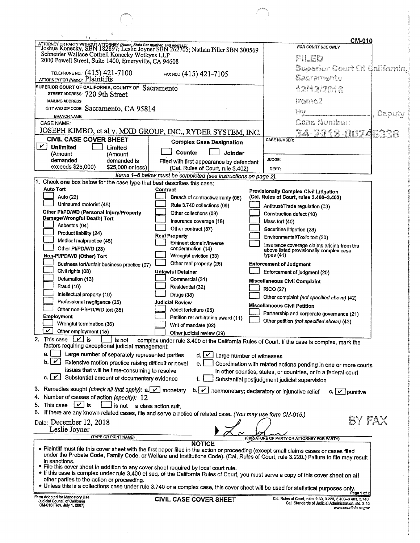|                                                                                                                                                                                                                                                                       |                                                                 | <b>CM-010</b>                                                                                                                               |
|-----------------------------------------------------------------------------------------------------------------------------------------------------------------------------------------------------------------------------------------------------------------------|-----------------------------------------------------------------|---------------------------------------------------------------------------------------------------------------------------------------------|
| ATTORNEY OR PARTY WITHOUT ATTORNEY (Name, State Bar number, and address):<br>Doshua Konecky, SBN 182897; Leslie Joyner SBN 262705; Nathan Piller SBN 300569<br>Schneider Wallace Cottrell Konecky Wotkyns LLP<br>2000 Powell Street, Suite 1400, Emeryville, CA 94608 |                                                                 | <b>FOR COURT USE ONLY</b><br>PILEB                                                                                                          |
| TELEPHONE NO.: (415) 421-7100<br>ATTORNEY FOR (Name): Plaintiffs                                                                                                                                                                                                      | FAX NO.: (415) 421-7105                                         | Suparior Court Of California<br>Sacramento                                                                                                  |
| SUPERIOR COURT OF CALIFORNIA, COUNTY OF Sacramento                                                                                                                                                                                                                    |                                                                 | 12/12/2018                                                                                                                                  |
| STREET ADDRESS: 720 9th Street<br><b>MAILING ADDRESS:</b>                                                                                                                                                                                                             |                                                                 | irama2                                                                                                                                      |
| CITY AND ZIP CODE: Sacramento, CA 95814<br><b>BRANCH NAME:</b>                                                                                                                                                                                                        |                                                                 | <b>M</b><br>Deputy                                                                                                                          |
| <b>CASE NAME:</b>                                                                                                                                                                                                                                                     |                                                                 | Case Number                                                                                                                                 |
| JOSEPH KIMBO, et al v. MXD GROUP, INC., RYDER SYSTEM, INC.                                                                                                                                                                                                            |                                                                 | 34-2018-00246338                                                                                                                            |
| CIVIL CASE COVER SHEET<br>$\boldsymbol{\mathsf{v}}$ )<br><b>Unlimited</b><br>Limited                                                                                                                                                                                  | <b>Complex Case Designation</b>                                 | <b>CASE NUMBER:</b>                                                                                                                         |
| (Amount<br>(Amount<br>demanded<br>demanded is                                                                                                                                                                                                                         | Counter<br>Joinder<br>Filed with first appearance by defendant  | <b>JUDGE:</b>                                                                                                                               |
| exceeds \$25,000)<br>\$25,000 or less)                                                                                                                                                                                                                                | (Cal. Rules of Court, rule 3.402)                               | DEPT:                                                                                                                                       |
|                                                                                                                                                                                                                                                                       | Items 1-6 below must be completed (see instructions on page 2). |                                                                                                                                             |
| Check one box below for the case type that best describes this case;<br><b>Auto Tort</b>                                                                                                                                                                              | Contract                                                        |                                                                                                                                             |
| Auto (22)                                                                                                                                                                                                                                                             | Breach of contract/warranty (06)                                | <b>Provisionally Complex Civil Litigation</b><br>(Cal. Rules of Court, rules 3.400-3.403)                                                   |
| Uninsured motorist (46)                                                                                                                                                                                                                                               | Rule 3.740 collections (09)                                     | Antitrust/Trade regulation (03)                                                                                                             |
| Other PI/PD/WD (Personal Injury/Property<br>Damage/Wrongful Death) Tort                                                                                                                                                                                               | Other collections (09)<br>Insurance coverage (18)               | Construction defect (10)<br>Mass tort (40)                                                                                                  |
| Asbestos (04)                                                                                                                                                                                                                                                         | Other contract (37)                                             | Securities litigation (28)                                                                                                                  |
| Product liability (24)<br>Medical malpractice (45)                                                                                                                                                                                                                    | <b>Real Property</b>                                            | Environmental/Toxic tort (30)                                                                                                               |
| Other PI/PD/WD (23)                                                                                                                                                                                                                                                   | Eminent domain/Inverse<br>condemnation (14)                     | Insurance coverage claims arising from the<br>above listed provisionally complex case                                                       |
| Non-PI/PD/WD (Other) Tort                                                                                                                                                                                                                                             | Wrongful eviction (33)                                          | types $(41)$                                                                                                                                |
| Business tort/unfair business practice (07)<br>Civil rights (08)                                                                                                                                                                                                      | Other real property (26)<br>Unlawful Detainer                   | <b>Enforcement of Judgment</b>                                                                                                              |
| Defamation (13)                                                                                                                                                                                                                                                       | Commercial (31)                                                 | Enforcement of judgment (20)<br><b>Miscellaneous Civil Complaint</b>                                                                        |
| Fraud (16)                                                                                                                                                                                                                                                            | Residential (32)                                                | <b>RICO (27)</b>                                                                                                                            |
| Intellectual property (19)<br>Professional negligence (25)                                                                                                                                                                                                            | Drugs (38)                                                      | Other complaint (not specified above) (42)                                                                                                  |
| Other non-PI/PD/WD tort (35)                                                                                                                                                                                                                                          | <b>Judicial Review</b><br>Asset forfeiture (05)                 | <b>Miscellaneous Civil Petition</b>                                                                                                         |
| <b>Employment</b>                                                                                                                                                                                                                                                     | Petition re: arbitration award (11)                             | Partnership and corporate governance (21)<br>Other petition (not specified above) (43)                                                      |
| Wrongful termination (36)<br>$\sqrt{ }$<br>Other employment (15)                                                                                                                                                                                                      | Writ of mandate (02)                                            |                                                                                                                                             |
| $\boldsymbol{v}$  <br>2. This case<br>is<br>is not                                                                                                                                                                                                                    | Other judicial review (39)                                      | complex under rule 3.400 of the California Rules of Court. If the case is complex, mark the                                                 |
| factors requiring exceptional judicial management:                                                                                                                                                                                                                    |                                                                 |                                                                                                                                             |
| Large number of separately represented parties<br>a.<br>b.1<br>Extensive motion practice raising difficult or novel                                                                                                                                                   | d.   ✔  <br>е.                                                  | Large number of witnesses                                                                                                                   |
| issues that will be time-consuming to resolve                                                                                                                                                                                                                         |                                                                 | Coordination with related actions pending in one or more courts<br>in other counties, states, or countries, or in a federal court           |
| c.  V <br>Substantial amount of documentary evidence                                                                                                                                                                                                                  | f.                                                              | Substantial postjudgment judicial supervision                                                                                               |
| 3. Remedies sought (check all that apply): $a. \triangleright$ monetary                                                                                                                                                                                               | b.   <i>v</i>                                                   | nonmonetary; declaratory or injunctive relief<br>$\mathbf{v}$ punitive<br>c. I                                                              |
| Number of causes of action (specify): 12<br>4.<br>$\vert \nu \vert$ is<br>This case<br>5.                                                                                                                                                                             |                                                                 |                                                                                                                                             |
| is not<br>6.<br>If there are any known related cases, file and serve a notice of related case. (You may use form CM-015.)                                                                                                                                             | a class action suit.                                            |                                                                                                                                             |
| Date: December 12, 2018                                                                                                                                                                                                                                               |                                                                 | BY FAX                                                                                                                                      |
| Leslie Joyner                                                                                                                                                                                                                                                         |                                                                 |                                                                                                                                             |
| (TYPE OR PRINT NAME)                                                                                                                                                                                                                                                  | <b>NOTICE</b>                                                   | OF PARTY OR ATTORNEY FOR PARTY)                                                                                                             |
| . Plaintiff must file this cover sheet with the first paper filed in the action or proceeding (except small claims cases or cases filed<br>in sanctions.                                                                                                              |                                                                 | under the Probate Code, Family Code, or Welfare and Institutions Code). (Cal. Rules of Court, rule 3.220.) Failure to file may result       |
| • File this cover sheet in addition to any cover sheet required by local court rule.<br>other parties to the action or proceeding.                                                                                                                                    |                                                                 | If this case is complex under rule 3.400 et seq. of the California Rules of Court, you must serve a copy of this cover sheet on all         |
| . Unless this is a collections case under rule 3.740 or a complex case, this cover sheet will be used for statistical purposes only.                                                                                                                                  |                                                                 | Page 1 of 2                                                                                                                                 |
| Form Adopted for Mandatory Use<br>Judicial Council of California<br>CM-010 [Rev. July 1, 2007]                                                                                                                                                                        | <b>CIVIL CASE COVER SHEET</b>                                   | Cal. Rules of Court, rules 2.30, 3.220, 3.400-3.403, 3.740;<br>Cal. Standards of Judicial Administration, std. 3.10<br>www.courtloto.ca.com |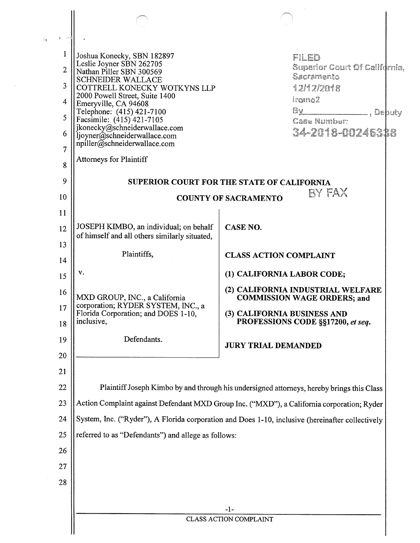| $\sim$ $\lambda$ |                                                                                                  |                                                                                            |  |
|------------------|--------------------------------------------------------------------------------------------------|--------------------------------------------------------------------------------------------|--|
| 1                | Joshua Konecky, SBN 182897                                                                       |                                                                                            |  |
| $\overline{2}$   | Leslie Joyner SBN 262705<br>Nathan Piller SBN 300569                                             | FILED<br>Superior Court Of California,<br>Sacramento                                       |  |
| 3                | <b>SCHNEIDER WALLACE</b><br>COTTRELL KONECKY WOTKYNS LLP                                         | 12/12/2018                                                                                 |  |
| 4                | 2000 Powell Street, Suite 1400<br>Emeryville, CA 94608                                           | irama <sub>Z</sub>                                                                         |  |
| 5                | Telephone: (415) 421-7100<br>Facsimile: (415) 421-7105                                           | Case Number:                                                                               |  |
| 6                | jkonecky@schneiderwallace.com                                                                    | 34-2016-00246338                                                                           |  |
| $\overline{7}$   | ljoyner@schneiderwallace.com<br>npiller@schneiderwallace.com                                     |                                                                                            |  |
| 8                | <b>Attorneys for Plaintiff</b>                                                                   |                                                                                            |  |
| 9                |                                                                                                  |                                                                                            |  |
|                  |                                                                                                  | SUPERIOR COURT FOR THE STATE OF CALIFORNIA<br>BY FAX                                       |  |
| 10               |                                                                                                  | <b>COUNTY OF SACRAMENTO</b>                                                                |  |
| 11               |                                                                                                  |                                                                                            |  |
| 12               | JOSEPH KIMBO, an individual; on behalf<br>of himself and all others similarly situated,          | <b>CASE NO.</b>                                                                            |  |
| 13               |                                                                                                  |                                                                                            |  |
| 14               | Plaintiffs,                                                                                      | <b>CLASS ACTION COMPLAINT</b>                                                              |  |
| 15               | v.                                                                                               | (1) CALIFORNIA LABOR CODE;                                                                 |  |
| 16               | MXD GROUP, INC., a California                                                                    | (2) CALIFORNIA INDUSTRIAL WELFARE<br><b>COMMISSION WAGE ORDERS; and</b>                    |  |
| 17               | corporation; RYDER SYSTEM, INC., a<br>Florida Corporation; and DOES 1-10,                        | (3) CALIFORNIA BUSINESS AND                                                                |  |
| 18               | inclusive,                                                                                       | PROFESSIONS CODE §§17200, et seq.                                                          |  |
| 19               | Defendants.                                                                                      | <b>JURY TRIAL DEMANDED</b>                                                                 |  |
| 20               |                                                                                                  |                                                                                            |  |
| 21               |                                                                                                  |                                                                                            |  |
| 22               |                                                                                                  | Plaintiff Joseph Kimbo by and through his undersigned attorneys, hereby brings this Class  |  |
| 23               |                                                                                                  | Action Complaint against Defendant MXD Group Inc. ("MXD"), a California corporation; Ryder |  |
| 24               | System, Inc. ("Ryder"), A Florida corporation and Does 1-10, inclusive (hereinafter collectively |                                                                                            |  |
| 25               | referred to as "Defendants") and allege as follows:                                              |                                                                                            |  |
| 26               |                                                                                                  |                                                                                            |  |
| 27               |                                                                                                  |                                                                                            |  |
| 28               |                                                                                                  |                                                                                            |  |
|                  |                                                                                                  |                                                                                            |  |
|                  |                                                                                                  | $-1-$                                                                                      |  |
|                  |                                                                                                  | <b>CLASS ACTION COMPLAINT</b>                                                              |  |
|                  |                                                                                                  |                                                                                            |  |

 $\gamma_{\rm 20}$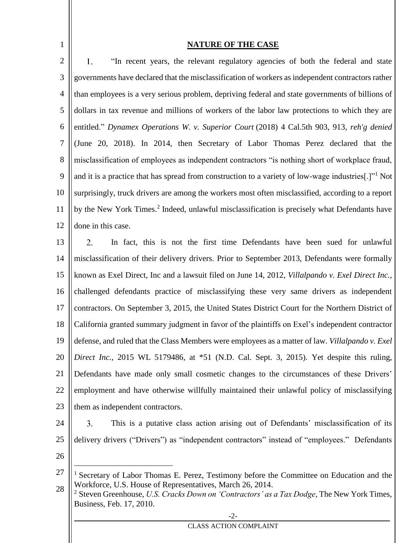| $\mathbf{1}$     | <b>NATURE OF THE CASE</b>                                                                                                                                                                              |
|------------------|--------------------------------------------------------------------------------------------------------------------------------------------------------------------------------------------------------|
| $\overline{2}$   | "In recent years, the relevant regulatory agencies of both the federal and state<br>1.                                                                                                                 |
| 3                | governments have declared that the misclassification of workers as independent contractors rather                                                                                                      |
| $\overline{4}$   | than employees is a very serious problem, depriving federal and state governments of billions of                                                                                                       |
| 5                | dollars in tax revenue and millions of workers of the labor law protections to which they are                                                                                                          |
| 6                | entitled." Dynamex Operations W. v. Superior Court (2018) 4 Cal.5th 903, 913, reh'g denied                                                                                                             |
| $\boldsymbol{7}$ | (June 20, 2018). In 2014, then Secretary of Labor Thomas Perez declared that the                                                                                                                       |
| 8                | misclassification of employees as independent contractors "is nothing short of workplace fraud,                                                                                                        |
| 9                | and it is a practice that has spread from construction to a variety of low-wage industries[.]" <sup>1</sup> Not                                                                                        |
| 10               | surprisingly, truck drivers are among the workers most often misclassified, according to a report                                                                                                      |
| 11               | by the New York Times. <sup>2</sup> Indeed, unlawful misclassification is precisely what Defendants have                                                                                               |
| 12               | done in this case.                                                                                                                                                                                     |
| 13               | 2.<br>In fact, this is not the first time Defendants have been sued for unlawful                                                                                                                       |
| 14               | misclassification of their delivery drivers. Prior to September 2013, Defendants were formally                                                                                                         |
| 15               | known as Exel Direct, Inc and a lawsuit filed on June 14, 2012, Villalpando v. Exel Direct Inc.,                                                                                                       |
| 16               | challenged defendants practice of misclassifying these very same drivers as independent                                                                                                                |
| 17               | contractors. On September 3, 2015, the United States District Court for the Northern District of                                                                                                       |
| 18               | California granted summary judgment in favor of the plaintiffs on Exel's independent contractor                                                                                                        |
| 19               | defense, and ruled that the Class Members were employees as a matter of law. Villalpando v. Exel                                                                                                       |
| 20               | Direct Inc., 2015 WL 5179486, at *51 (N.D. Cal. Sept. 3, 2015). Yet despite this ruling,                                                                                                               |
| 21               | Defendants have made only small cosmetic changes to the circumstances of these Drivers'                                                                                                                |
| 22               | employment and have otherwise willfully maintained their unlawful policy of misclassifying                                                                                                             |
| 23               | them as independent contractors.                                                                                                                                                                       |
| 24               | 3.<br>This is a putative class action arising out of Defendants' misclassification of its                                                                                                              |
| 25               | delivery drivers ("Drivers") as "independent contractors" instead of "employees." Defendants                                                                                                           |
| 26               |                                                                                                                                                                                                        |
| 27               | <sup>1</sup> Secretary of Labor Thomas E. Perez, Testimony before the Committee on Education and the                                                                                                   |
| 28               | Workforce, U.S. House of Representatives, March 26, 2014.<br><sup>2</sup> Steven Greenhouse, <i>U.S. Cracks Down on 'Contractors' as a Tax Dodge</i> , The New York Times,<br>Business, Feb. 17, 2010. |
|                  | $-2-$                                                                                                                                                                                                  |
|                  | <b>CLASS ACTION COMPLAINT</b>                                                                                                                                                                          |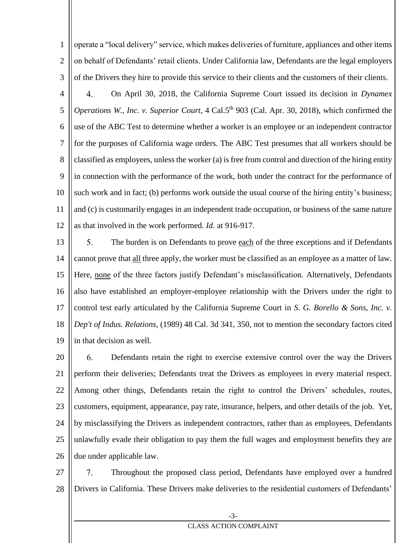1 2 3 operate a "local delivery" service, which makes deliveries of furniture, appliances and other items on behalf of Defendants' retail clients. Under California law, Defendants are the legal employers of the Drivers they hire to provide this service to their clients and the customers of their clients.

 $4.$ On April 30, 2018, the California Supreme Court issued its decision in *Dynamex*  4 5 *Operations W., Inc. v. Superior Court,* 4 Cal.5<sup>th</sup> 903 (Cal. Apr. 30, 2018), which confirmed the 6 use of the ABC Test to determine whether a worker is an employee or an independent contractor 7 for the purposes of California wage orders. The ABC Test presumes that all workers should be 8 classified as employees, unless the worker (a) is free from control and direction of the hiring entity 9 in connection with the performance of the work, both under the contract for the performance of 10 such work and in fact; (b) performs work outside the usual course of the hiring entity's business; 11 and (c) is customarily engages in an independent trade occupation, or business of the same nature 12 as that involved in the work performed. *Id*. at 916-917.

13 5. The burden is on Defendants to prove each of the three exceptions and if Defendants 14 cannot prove that all three apply, the worker must be classified as an employee as a matter of law. 15 Here, none of the three factors justify Defendant's misclassification. Alternatively, Defendants 16 also have established an employer-employee relationship with the Drivers under the right to 17 control test early articulated by the California Supreme Court in *S. G. Borello & Sons, Inc. v.*  18 *Dep't of Indus. Relations*, (1989) 48 Cal. 3d 341, 350, not to mention the secondary factors cited 19 in that decision as well.

20 6. Defendants retain the right to exercise extensive control over the way the Drivers 21 perform their deliveries; Defendants treat the Drivers as employees in every material respect. 22 Among other things, Defendants retain the right to control the Drivers' schedules, routes, 23 customers, equipment, appearance, pay rate, insurance, helpers, and other details of the job. Yet, 24 by misclassifying the Drivers as independent contractors, rather than as employees, Defendants 25 unlawfully evade their obligation to pay them the full wages and employment benefits they are 26 due under applicable law.

27  $7.$ Throughout the proposed class period, Defendants have employed over a hundred 28 Drivers in California. These Drivers make deliveries to the residential customers of Defendants'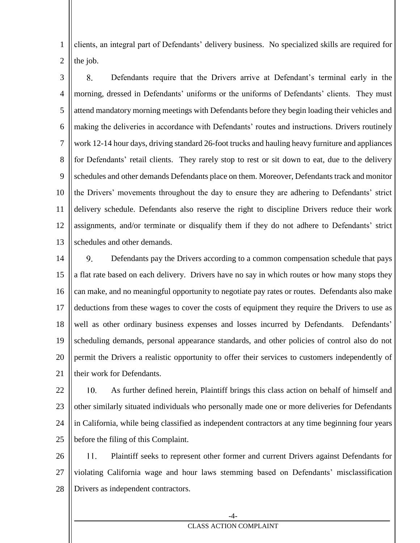1 2 clients, an integral part of Defendants' delivery business. No specialized skills are required for the job.

8. 3 Defendants require that the Drivers arrive at Defendant's terminal early in the morning, dressed in Defendants' uniforms or the uniforms of Defendants' clients. They must 4 5 attend mandatory morning meetings with Defendants before they begin loading their vehicles and 6 making the deliveries in accordance with Defendants' routes and instructions. Drivers routinely 7 work 12-14 hour days, driving standard 26-foot trucks and hauling heavy furniture and appliances 8 for Defendants' retail clients. They rarely stop to rest or sit down to eat, due to the delivery 9 schedules and other demands Defendants place on them. Moreover, Defendants track and monitor 10 the Drivers' movements throughout the day to ensure they are adhering to Defendants' strict 11 delivery schedule. Defendants also reserve the right to discipline Drivers reduce their work 12 assignments, and/or terminate or disqualify them if they do not adhere to Defendants' strict 13 schedules and other demands.

14 9. Defendants pay the Drivers according to a common compensation schedule that pays 15 a flat rate based on each delivery. Drivers have no say in which routes or how many stops they 16 can make, and no meaningful opportunity to negotiate pay rates or routes. Defendants also make 17 deductions from these wages to cover the costs of equipment they require the Drivers to use as 18 well as other ordinary business expenses and losses incurred by Defendants. Defendants' 19 scheduling demands, personal appearance standards, and other policies of control also do not 20 permit the Drivers a realistic opportunity to offer their services to customers independently of 21 their work for Defendants.

22 10. As further defined herein, Plaintiff brings this class action on behalf of himself and 23 other similarly situated individuals who personally made one or more deliveries for Defendants 24 in California, while being classified as independent contractors at any time beginning four years 25 before the filing of this Complaint.

26 11. Plaintiff seeks to represent other former and current Drivers against Defendants for 27 violating California wage and hour laws stemming based on Defendants' misclassification 28 Drivers as independent contractors.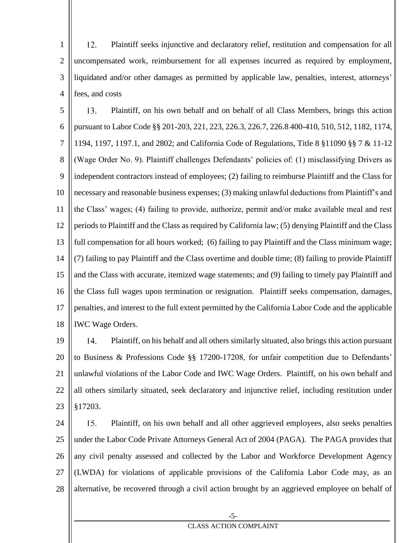1 12. Plaintiff seeks injunctive and declaratory relief, restitution and compensation for all 2 uncompensated work, reimbursement for all expenses incurred as required by employment, 3 liquidated and/or other damages as permitted by applicable law, penalties, interest, attorneys' fees, and costs 4

5 Plaintiff, on his own behalf and on behalf of all Class Members, brings this action 13. 6 pursuant to Labor Code §§ 201-203, 221, 223, 226.3, 226.7, 226.8 400-410, 510, 512, 1182, 1174, 7 1194, 1197, 1197.1, and 2802; and California Code of Regulations, Title 8 §11090 §§ 7 & 11-12 8 (Wage Order No. 9). Plaintiff challenges Defendants' policies of: (1) misclassifying Drivers as 9 independent contractors instead of employees; (2) failing to reimburse Plaintiff and the Class for 10 necessary and reasonable business expenses; (3) making unlawful deductions from Plaintiff's and 11 the Class' wages; (4) failing to provide, authorize, permit and/or make available meal and rest 12 periods to Plaintiff and the Class as required by California law; (5) denying Plaintiff and the Class 13 full compensation for all hours worked; (6) failing to pay Plaintiff and the Class minimum wage; 14 (7) failing to pay Plaintiff and the Class overtime and double time; (8) failing to provide Plaintiff 15 and the Class with accurate, itemized wage statements; and (9) failing to timely pay Plaintiff and 16 the Class full wages upon termination or resignation. Plaintiff seeks compensation, damages, 17 penalties, and interest to the full extent permitted by the California Labor Code and the applicable IWC Wage Orders. 18

19 14. Plaintiff, on his behalf and all others similarly situated, also brings this action pursuant 20 to Business & Professions Code §§ 17200-17208, for unfair competition due to Defendants' 21 unlawful violations of the Labor Code and IWC Wage Orders. Plaintiff, on his own behalf and 22 all others similarly situated, seek declaratory and injunctive relief, including restitution under 23 §17203.

24 15. Plaintiff, on his own behalf and all other aggrieved employees, also seeks penalties 25 under the Labor Code Private Attorneys General Act of 2004 (PAGA). The PAGA provides that 26 any civil penalty assessed and collected by the Labor and Workforce Development Agency 27 (LWDA) for violations of applicable provisions of the California Labor Code may, as an 28 alternative, be recovered through a civil action brought by an aggrieved employee on behalf of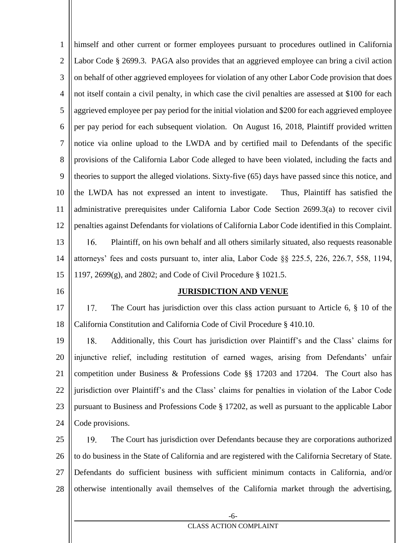| $\mathbf{1}$   | himself and other current or former employees pursuant to procedures outlined in California          |
|----------------|------------------------------------------------------------------------------------------------------|
| $\overline{2}$ | Labor Code § 2699.3. PAGA also provides that an aggrieved employee can bring a civil action          |
| 3              | on behalf of other aggrieved employees for violation of any other Labor Code provision that does     |
| $\overline{4}$ | not itself contain a civil penalty, in which case the civil penalties are assessed at \$100 for each |
| 5              | aggrieved employee per pay period for the initial violation and \$200 for each aggrieved employee    |
| 6              | per pay period for each subsequent violation. On August 16, 2018, Plaintiff provided written         |
| $\tau$         | notice via online upload to the LWDA and by certified mail to Defendants of the specific             |
|                |                                                                                                      |
| 8              | provisions of the California Labor Code alleged to have been violated, including the facts and       |
| 9              | theories to support the alleged violations. Sixty-five (65) days have passed since this notice, and  |
| 10             | the LWDA has not expressed an intent to investigate.<br>Thus, Plaintiff has satisfied the            |
| 11             | administrative prerequisites under California Labor Code Section 2699.3(a) to recover civil          |
| 12             | penalties against Defendants for violations of California Labor Code identified in this Complaint.   |
| 13             | 16.<br>Plaintiff, on his own behalf and all others similarly situated, also requests reasonable      |
| 14             | attorneys' fees and costs pursuant to, inter alia, Labor Code §§ 225.5, 226, 226.7, 558, 1194,       |
| 15             | 1197, 2699(g), and 2802; and Code of Civil Procedure § 1021.5.                                       |
| 16             | <b>JURISDICTION AND VENUE</b>                                                                        |
| 17             | 17.<br>The Court has jurisdiction over this class action pursuant to Article 6, $\S$ 10 of the       |
| 18             | California Constitution and California Code of Civil Procedure § 410.10.                             |
| 19             | 18. Additionally, this Court has jurisdiction over Plaintiff's and the Class' claims for             |
| 20             | injunctive relief, including restitution of earned wages, arising from Defendants' unfair            |
| 21             | competition under Business & Professions Code §§ 17203 and 17204. The Court also has                 |
| 22             | jurisdiction over Plaintiff's and the Class' claims for penalties in violation of the Labor Code     |
| 23             | pursuant to Business and Professions Code § 17202, as well as pursuant to the applicable Labor       |
| 24             | Code provisions.                                                                                     |
| 25             | 19.<br>The Court has jurisdiction over Defendants because they are corporations authorized           |
| 26             | to do business in the State of California and are registered with the California Secretary of State. |
| 27             | Defendants do sufficient business with sufficient minimum contacts in California, and/or             |

- 28 || otherwise intentionally avail themselves of the California market through the advertising,
	- -6-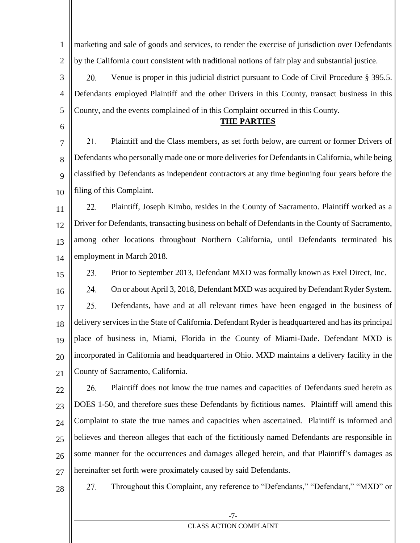1 2 marketing and sale of goods and services, to render the exercise of jurisdiction over Defendants by the California court consistent with traditional notions of fair play and substantial justice.

Venue is proper in this judicial district pursuant to Code of Civil Procedure § 395.5. 3 20. 4 Defendants employed Plaintiff and the other Drivers in this County, transact business in this 5 County, and the events complained of in this Complaint occurred in this County.

6

### **THE PARTIES**

21. Plaintiff and the Class members, as set forth below, are current or former Drivers of 7 Defendants who personally made one or more deliveries for Defendants in California, while being 8 classified by Defendants as independent contractors at any time beginning four years before the 9 filing of this Complaint. 10

22. Plaintiff, Joseph Kimbo, resides in the County of Sacramento. Plaintiff worked as a 11 Driver for Defendants, transacting business on behalf of Defendants in the County of Sacramento, 12 among other locations throughout Northern California, until Defendants terminated his 13 employment in March 2018. 14

23. Prior to September 2013, Defendant MXD was formally known as Exel Direct, Inc. 15 24. On or about April 3, 2018, Defendant MXD was acquired by Defendant Ryder System. 16 25. Defendants, have and at all relevant times have been engaged in the business of 17 delivery services in the State of California. Defendant Ryder is headquartered and has its principal 18 place of business in, Miami, Florida in the County of Miami-Dade. Defendant MXD is 19 incorporated in California and headquartered in Ohio. MXD maintains a delivery facility in the 20 County of Sacramento, California. 21

26. Plaintiff does not know the true names and capacities of Defendants sued herein as 22 DOES 1-50, and therefore sues these Defendants by fictitious names. Plaintiff will amend this 23 Complaint to state the true names and capacities when ascertained. Plaintiff is informed and 24 believes and thereon alleges that each of the fictitiously named Defendants are responsible in 25 some manner for the occurrences and damages alleged herein, and that Plaintiff's damages as 26 hereinafter set forth were proximately caused by said Defendants. 27

28

27. Throughout this Complaint, any reference to "Defendants," "Defendant," "MXD" or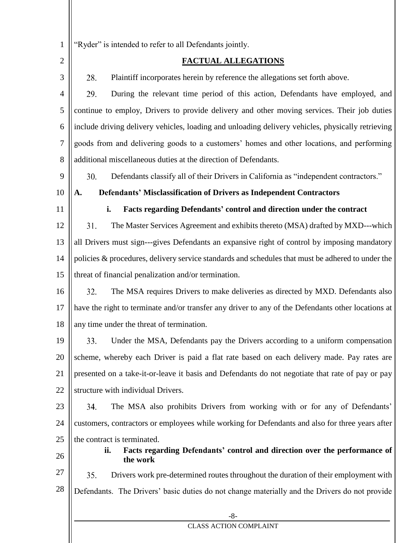| $\mathbf{1}$   | "Ryder" is intended to refer to all Defendants jointly.                                            |  |  |  |  |  |
|----------------|----------------------------------------------------------------------------------------------------|--|--|--|--|--|
| $\overline{2}$ | <b>FACTUAL ALLEGATIONS</b>                                                                         |  |  |  |  |  |
| 3              | 28.<br>Plaintiff incorporates herein by reference the allegations set forth above.                 |  |  |  |  |  |
| 4              | 29.<br>During the relevant time period of this action, Defendants have employed, and               |  |  |  |  |  |
| 5              | continue to employ, Drivers to provide delivery and other moving services. Their job duties        |  |  |  |  |  |
| 6              | include driving delivery vehicles, loading and unloading delivery vehicles, physically retrieving  |  |  |  |  |  |
| $\tau$         | goods from and delivering goods to a customers' homes and other locations, and performing          |  |  |  |  |  |
| 8              | additional miscellaneous duties at the direction of Defendants.                                    |  |  |  |  |  |
| 9              | 30.<br>Defendants classify all of their Drivers in California as "independent contractors."        |  |  |  |  |  |
| 10             | Defendants' Misclassification of Drivers as Independent Contractors<br>A.                          |  |  |  |  |  |
| 11             | i.<br>Facts regarding Defendants' control and direction under the contract                         |  |  |  |  |  |
| 12             | 31.<br>The Master Services Agreement and exhibits thereto (MSA) drafted by MXD---which             |  |  |  |  |  |
| 13             | all Drivers must sign---gives Defendants an expansive right of control by imposing mandatory       |  |  |  |  |  |
| 14             | policies & procedures, delivery service standards and schedules that must be adhered to under the  |  |  |  |  |  |
| 15             | threat of financial penalization and/or termination.                                               |  |  |  |  |  |
| 16             | 32.<br>The MSA requires Drivers to make deliveries as directed by MXD. Defendants also             |  |  |  |  |  |
| 17             | have the right to terminate and/or transfer any driver to any of the Defendants other locations at |  |  |  |  |  |
| 18             | any time under the threat of termination.                                                          |  |  |  |  |  |
| 19             | 33.<br>Under the MSA, Defendants pay the Drivers according to a uniform compensation               |  |  |  |  |  |
| 20             | scheme, whereby each Driver is paid a flat rate based on each delivery made. Pay rates are         |  |  |  |  |  |
| 21             | presented on a take-it-or-leave it basis and Defendants do not negotiate that rate of pay or pay   |  |  |  |  |  |
| 22             | structure with individual Drivers.                                                                 |  |  |  |  |  |
| 23             | The MSA also prohibits Drivers from working with or for any of Defendants'<br>34.                  |  |  |  |  |  |
| 24             | customers, contractors or employees while working for Defendants and also for three years after    |  |  |  |  |  |
| 25             | the contract is terminated.                                                                        |  |  |  |  |  |
| 26             | Facts regarding Defendants' control and direction over the performance of<br>ii.<br>the work       |  |  |  |  |  |
| 27             | 35.<br>Drivers work pre-determined routes throughout the duration of their employment with         |  |  |  |  |  |
| 28             | Defendants. The Drivers' basic duties do not change materially and the Drivers do not provide      |  |  |  |  |  |
|                | $-8-$                                                                                              |  |  |  |  |  |
|                | <b>CLASS ACTION COMPLAINT</b>                                                                      |  |  |  |  |  |
|                |                                                                                                    |  |  |  |  |  |

Ш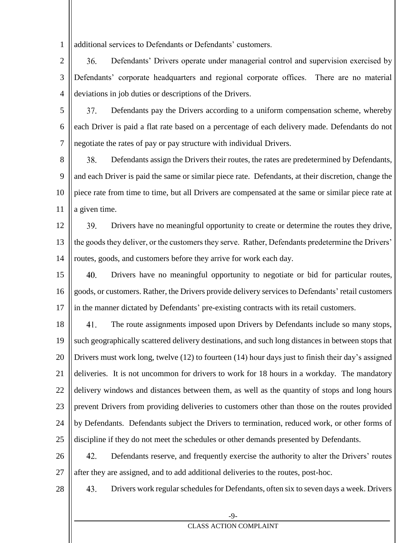1 additional services to Defendants or Defendants' customers.

2 36. Defendants' Drivers operate under managerial control and supervision exercised by 3 Defendants' corporate headquarters and regional corporate offices. There are no material 4 deviations in job duties or descriptions of the Drivers.

5 37. Defendants pay the Drivers according to a uniform compensation scheme, whereby 6 each Driver is paid a flat rate based on a percentage of each delivery made. Defendants do not 7 negotiate the rates of pay or pay structure with individual Drivers.

8 38. Defendants assign the Drivers their routes, the rates are predetermined by Defendants, 9 and each Driver is paid the same or similar piece rate. Defendants, at their discretion, change the 10 piece rate from time to time, but all Drivers are compensated at the same or similar piece rate at 11 a given time.

12 39. Drivers have no meaningful opportunity to create or determine the routes they drive, 13 the goods they deliver, or the customers they serve. Rather, Defendants predetermine the Drivers' 14 routes, goods, and customers before they arrive for work each day.

15 40. Drivers have no meaningful opportunity to negotiate or bid for particular routes, 16 goods, or customers. Rather, the Drivers provide delivery services to Defendants' retail customers 17 in the manner dictated by Defendants' pre-existing contracts with its retail customers.

41. 18 The route assignments imposed upon Drivers by Defendants include so many stops, 19 such geographically scattered delivery destinations, and such long distances in between stops that 20 Drivers must work long, twelve (12) to fourteen (14) hour days just to finish their day's assigned 21 deliveries. It is not uncommon for drivers to work for 18 hours in a workday. The mandatory 22 delivery windows and distances between them, as well as the quantity of stops and long hours 23 prevent Drivers from providing deliveries to customers other than those on the routes provided 24 by Defendants. Defendants subject the Drivers to termination, reduced work, or other forms of 25 discipline if they do not meet the schedules or other demands presented by Defendants.

26 42. Defendants reserve, and frequently exercise the authority to alter the Drivers' routes 27 after they are assigned, and to add additional deliveries to the routes, post-hoc.

28

43. Drivers work regular schedules for Defendants, often six to seven days a week. Drivers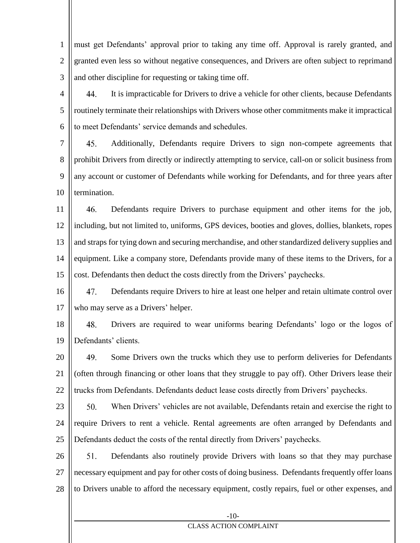1 2 3 must get Defendants' approval prior to taking any time off. Approval is rarely granted, and granted even less so without negative consequences, and Drivers are often subject to reprimand and other discipline for requesting or taking time off.

44. It is impracticable for Drivers to drive a vehicle for other clients, because Defendants 4 5 routinely terminate their relationships with Drivers whose other commitments make it impractical to meet Defendants' service demands and schedules. 6

7 45. Additionally, Defendants require Drivers to sign non-compete agreements that 8 prohibit Drivers from directly or indirectly attempting to service, call-on or solicit business from 9 any account or customer of Defendants while working for Defendants, and for three years after 10 termination.

11 46. Defendants require Drivers to purchase equipment and other items for the job, 12 including, but not limited to, uniforms, GPS devices, booties and gloves, dollies, blankets, ropes 13 and straps for tying down and securing merchandise, and other standardized delivery supplies and 14 equipment. Like a company store, Defendants provide many of these items to the Drivers, for a 15 cost. Defendants then deduct the costs directly from the Drivers' paychecks.

16 47. Defendants require Drivers to hire at least one helper and retain ultimate control over 17 who may serve as a Drivers' helper.

48. 18 Drivers are required to wear uniforms bearing Defendants' logo or the logos of 19 Defendants' clients.

20 49. Some Drivers own the trucks which they use to perform deliveries for Defendants 21 (often through financing or other loans that they struggle to pay off). Other Drivers lease their 22 trucks from Defendants. Defendants deduct lease costs directly from Drivers' paychecks.

23 50. When Drivers' vehicles are not available, Defendants retain and exercise the right to 24 require Drivers to rent a vehicle. Rental agreements are often arranged by Defendants and 25 Defendants deduct the costs of the rental directly from Drivers' paychecks.

26 51. Defendants also routinely provide Drivers with loans so that they may purchase 27 necessary equipment and pay for other costs of doing business. Defendants frequently offer loans 28 to Drivers unable to afford the necessary equipment, costly repairs, fuel or other expenses, and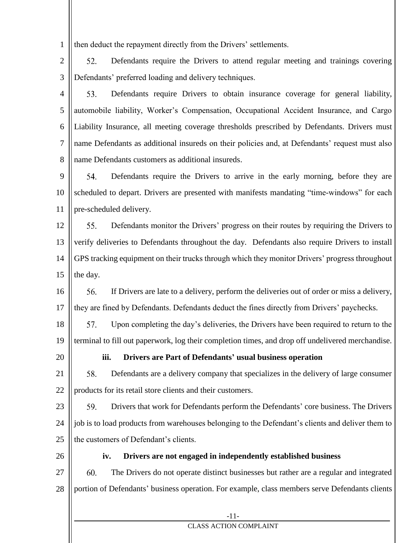1 then deduct the repayment directly from the Drivers' settlements.

2 52. Defendants require the Drivers to attend regular meeting and trainings covering 3 Defendants' preferred loading and delivery techniques.

53. Defendants require Drivers to obtain insurance coverage for general liability, 4 5 automobile liability, Worker's Compensation, Occupational Accident Insurance, and Cargo 6 Liability Insurance, all meeting coverage thresholds prescribed by Defendants. Drivers must 7 name Defendants as additional insureds on their policies and, at Defendants' request must also 8 name Defendants customers as additional insureds.

9 54. Defendants require the Drivers to arrive in the early morning, before they are 10 scheduled to depart. Drivers are presented with manifests mandating "time-windows" for each 11 pre-scheduled delivery.

12 55. Defendants monitor the Drivers' progress on their routes by requiring the Drivers to 13 verify deliveries to Defendants throughout the day. Defendants also require Drivers to install 14 GPS tracking equipment on their trucks through which they monitor Drivers' progress throughout 15 the day.

16 56. If Drivers are late to a delivery, perform the deliveries out of order or miss a delivery, 17 they are fined by Defendants. Defendants deduct the fines directly from Drivers' paychecks.

57. 18 Upon completing the day's deliveries, the Drivers have been required to return to the 19 terminal to fill out paperwork, log their completion times, and drop off undelivered merchandise.

20

#### **iii. Drivers are Part of Defendants' usual business operation**

21 58. Defendants are a delivery company that specializes in the delivery of large consumer 22 products for its retail store clients and their customers.

23 59. Drivers that work for Defendants perform the Defendants' core business. The Drivers 24 job is to load products from warehouses belonging to the Defendant's clients and deliver them to 25 the customers of Defendant's clients.

26

#### **iv. Drivers are not engaged in independently established business**

27 60. The Drivers do not operate distinct businesses but rather are a regular and integrated 28 portion of Defendants' business operation. For example, class members serve Defendants clients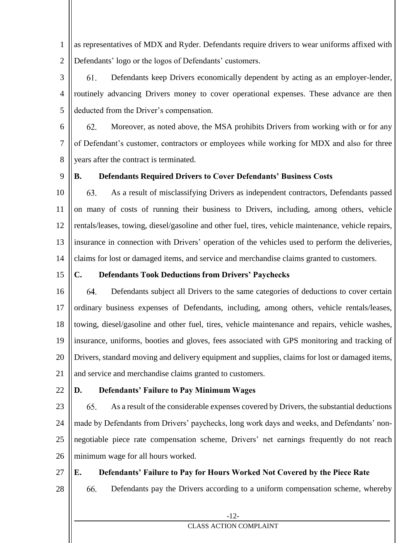1 2 as representatives of MDX and Ryder. Defendants require drivers to wear uniforms affixed with Defendants' logo or the logos of Defendants' customers.

3 61. Defendants keep Drivers economically dependent by acting as an employer-lender, routinely advancing Drivers money to cover operational expenses. These advance are then 4 5 deducted from the Driver's compensation.

62. 6 Moreover, as noted above, the MSA prohibits Drivers from working with or for any 7 of Defendant's customer, contractors or employees while working for MDX and also for three 8 years after the contract is terminated.

9

#### **B. Defendants Required Drivers to Cover Defendants' Business Costs**

10 63. As a result of misclassifying Drivers as independent contractors, Defendants passed 11 on many of costs of running their business to Drivers, including, among others, vehicle 12 rentals/leases, towing, diesel/gasoline and other fuel, tires, vehicle maintenance, vehicle repairs, 13 insurance in connection with Drivers' operation of the vehicles used to perform the deliveries, 14 claims for lost or damaged items, and service and merchandise claims granted to customers.

15

#### **C. Defendants Took Deductions from Drivers' Paychecks**

16 64. Defendants subject all Drivers to the same categories of deductions to cover certain 17 ordinary business expenses of Defendants, including, among others, vehicle rentals/leases, 18 towing, diesel/gasoline and other fuel, tires, vehicle maintenance and repairs, vehicle washes, 19 insurance, uniforms, booties and gloves, fees associated with GPS monitoring and tracking of 20 Drivers, standard moving and delivery equipment and supplies, claims for lost or damaged items, 21 and service and merchandise claims granted to customers.

22

#### **D. Defendants' Failure to Pay Minimum Wages**

23 65. As a result of the considerable expenses covered by Drivers, the substantial deductions 24 made by Defendants from Drivers' paychecks, long work days and weeks, and Defendants' non-25 negotiable piece rate compensation scheme, Drivers' net earnings frequently do not reach 26 minimum wage for all hours worked.

- 27 **E. Defendants' Failure to Pay for Hours Worked Not Covered by the Piece Rate**
- 28

66.

-12-

Defendants pay the Drivers according to a uniform compensation scheme, whereby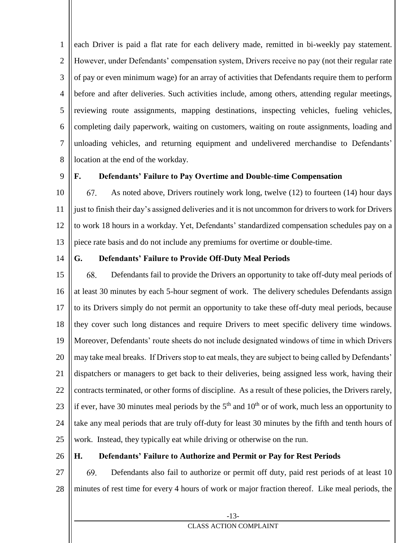1 2 3 4 5 6 7 8 each Driver is paid a flat rate for each delivery made, remitted in bi-weekly pay statement. However, under Defendants' compensation system, Drivers receive no pay (not their regular rate of pay or even minimum wage) for an array of activities that Defendants require them to perform before and after deliveries. Such activities include, among others, attending regular meetings, reviewing route assignments, mapping destinations, inspecting vehicles, fueling vehicles, completing daily paperwork, waiting on customers, waiting on route assignments, loading and unloading vehicles, and returning equipment and undelivered merchandise to Defendants' location at the end of the workday.

9

#### **F. Defendants' Failure to Pay Overtime and Double-time Compensation**

10 67. As noted above, Drivers routinely work long, twelve (12) to fourteen (14) hour days 11 just to finish their day's assigned deliveries and it is not uncommon for drivers to work for Drivers 12 to work 18 hours in a workday. Yet, Defendants' standardized compensation schedules pay on a 13 piece rate basis and do not include any premiums for overtime or double-time.

14

#### **G. Defendants' Failure to Provide Off-Duty Meal Periods**

15 68. Defendants fail to provide the Drivers an opportunity to take off-duty meal periods of 16 at least 30 minutes by each 5-hour segment of work. The delivery schedules Defendants assign 17 to its Drivers simply do not permit an opportunity to take these off-duty meal periods, because 18 they cover such long distances and require Drivers to meet specific delivery time windows. 19 Moreover, Defendants' route sheets do not include designated windows of time in which Drivers 20 may take meal breaks. If Drivers stop to eat meals, they are subject to being called by Defendants' 21 dispatchers or managers to get back to their deliveries, being assigned less work, having their 22 contracts terminated, or other forms of discipline. As a result of these policies, the Drivers rarely, if ever, have 30 minutes meal periods by the  $5<sup>th</sup>$  and  $10<sup>th</sup>$  or of work, much less an opportunity to 23 24 take any meal periods that are truly off-duty for least 30 minutes by the fifth and tenth hours of 25 work. Instead, they typically eat while driving or otherwise on the run.

26

#### **H. Defendants' Failure to Authorize and Permit or Pay for Rest Periods**

27 69. Defendants also fail to authorize or permit off duty, paid rest periods of at least 10 28 minutes of rest time for every 4 hours of work or major fraction thereof. Like meal periods, the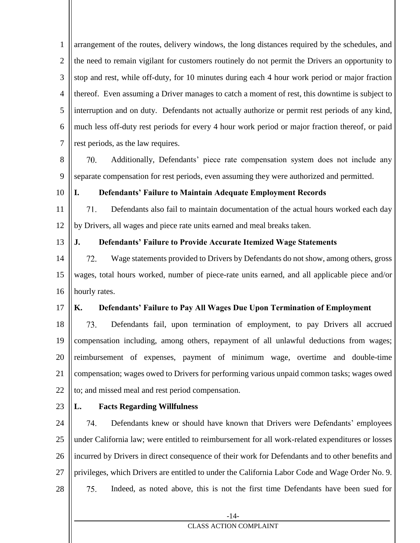1 2 3 4 5 6 7 arrangement of the routes, delivery windows, the long distances required by the schedules, and the need to remain vigilant for customers routinely do not permit the Drivers an opportunity to stop and rest, while off-duty, for 10 minutes during each 4 hour work period or major fraction thereof. Even assuming a Driver manages to catch a moment of rest, this downtime is subject to interruption and on duty. Defendants not actually authorize or permit rest periods of any kind, much less off-duty rest periods for every 4 hour work period or major fraction thereof, or paid rest periods, as the law requires.

- 8 70. Additionally, Defendants' piece rate compensation system does not include any 9 separate compensation for rest periods, even assuming they were authorized and permitted.
- 10 **I. Defendants' Failure to Maintain Adequate Employment Records**

11 71. Defendants also fail to maintain documentation of the actual hours worked each day 12 by Drivers, all wages and piece rate units earned and meal breaks taken.

**J. Defendants' Failure to Provide Accurate Itemized Wage Statements**

14 72. Wage statements provided to Drivers by Defendants do not show, among others, gross 15 wages, total hours worked, number of piece-rate units earned, and all applicable piece and/or 16 hourly rates.

#### 17 **K. Defendants' Failure to Pay All Wages Due Upon Termination of Employment**

73. 18 Defendants fail, upon termination of employment, to pay Drivers all accrued 19 compensation including, among others, repayment of all unlawful deductions from wages; 20 reimbursement of expenses, payment of minimum wage, overtime and double-time 21 compensation; wages owed to Drivers for performing various unpaid common tasks; wages owed 22 to; and missed meal and rest period compensation.

23

13

## **L. Facts Regarding Willfulness**

24 74. Defendants knew or should have known that Drivers were Defendants' employees 25 under California law; were entitled to reimbursement for all work-related expenditures or losses 26 incurred by Drivers in direct consequence of their work for Defendants and to other benefits and 27 privileges, which Drivers are entitled to under the California Labor Code and Wage Order No. 9. 28 75. Indeed, as noted above, this is not the first time Defendants have been sued for

-14-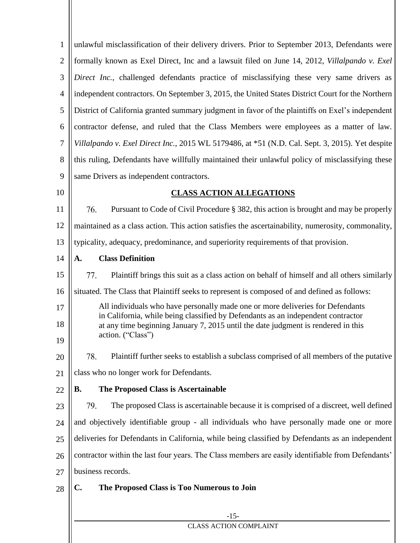| $\mathbf{1}$   | unlawful misclassification of their delivery drivers. Prior to September 2013, Defendants were                                                                     |  |
|----------------|--------------------------------------------------------------------------------------------------------------------------------------------------------------------|--|
| $\overline{2}$ | formally known as Exel Direct, Inc and a lawsuit filed on June 14, 2012, Villalpando v. Exel                                                                       |  |
| 3              | Direct Inc., challenged defendants practice of misclassifying these very same drivers as                                                                           |  |
| $\overline{4}$ | independent contractors. On September 3, 2015, the United States District Court for the Northern                                                                   |  |
| 5              | District of California granted summary judgment in favor of the plaintiffs on Exel's independent                                                                   |  |
| 6              | contractor defense, and ruled that the Class Members were employees as a matter of law.                                                                            |  |
| $\tau$         | Villalpando v. Exel Direct Inc., 2015 WL 5179486, at *51 (N.D. Cal. Sept. 3, 2015). Yet despite                                                                    |  |
| 8              | this ruling, Defendants have willfully maintained their unlawful policy of misclassifying these                                                                    |  |
| 9              | same Drivers as independent contractors.                                                                                                                           |  |
| 10             | <b>CLASS ACTION ALLEGATIONS</b>                                                                                                                                    |  |
| 11             | 76.<br>Pursuant to Code of Civil Procedure § 382, this action is brought and may be properly                                                                       |  |
| 12             | maintained as a class action. This action satisfies the ascertainability, numerosity, commonality,                                                                 |  |
| 13             | typicality, adequacy, predominance, and superiority requirements of that provision.                                                                                |  |
| 14             | <b>Class Definition</b><br>A.                                                                                                                                      |  |
| 15             | Plaintiff brings this suit as a class action on behalf of himself and all others similarly<br>77.                                                                  |  |
| 16             | situated. The Class that Plaintiff seeks to represent is composed of and defined as follows:                                                                       |  |
| 17             | All individuals who have personally made one or more deliveries for Defendants<br>in California, while being classified by Defendants as an independent contractor |  |
| 18             | at any time beginning January 7, 2015 until the date judgment is rendered in this                                                                                  |  |
| 19             | action. ("Class")                                                                                                                                                  |  |
| 20             | 78.<br>Plaintiff further seeks to establish a subclass comprised of all members of the putative                                                                    |  |
| 21             | class who no longer work for Defendants.                                                                                                                           |  |
| 22             | The Proposed Class is Ascertainable<br><b>B.</b>                                                                                                                   |  |
| 23             | 79.<br>The proposed Class is ascertainable because it is comprised of a discreet, well defined                                                                     |  |
| 24             | and objectively identifiable group - all individuals who have personally made one or more                                                                          |  |
| 25             | deliveries for Defendants in California, while being classified by Defendants as an independent                                                                    |  |
| 26             | contractor within the last four years. The Class members are easily identifiable from Defendants'                                                                  |  |
| 27             | business records.                                                                                                                                                  |  |
| 28             | The Proposed Class is Too Numerous to Join<br>C.                                                                                                                   |  |
|                |                                                                                                                                                                    |  |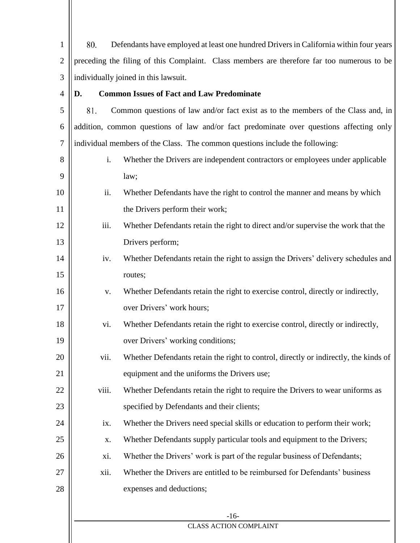| $\mathbf{1}$   | 80.                                  | Defendants have employed at least one hundred Drivers in California within four years      |  |  |  |
|----------------|--------------------------------------|--------------------------------------------------------------------------------------------|--|--|--|
| $\overline{2}$ |                                      | preceding the filing of this Complaint. Class members are therefore far too numerous to be |  |  |  |
| 3              | individually joined in this lawsuit. |                                                                                            |  |  |  |
| $\overline{4}$ | D.                                   | <b>Common Issues of Fact and Law Predominate</b>                                           |  |  |  |
| 5              | 81.                                  | Common questions of law and/or fact exist as to the members of the Class and, in           |  |  |  |
| 6              |                                      | addition, common questions of law and/or fact predominate over questions affecting only    |  |  |  |
| $\overline{7}$ |                                      | individual members of the Class. The common questions include the following:               |  |  |  |
| 8              | i.                                   | Whether the Drivers are independent contractors or employees under applicable              |  |  |  |
| 9              |                                      | law;                                                                                       |  |  |  |
| 10             | ii.                                  | Whether Defendants have the right to control the manner and means by which                 |  |  |  |
| 11             |                                      | the Drivers perform their work;                                                            |  |  |  |
| 12             | iii.                                 | Whether Defendants retain the right to direct and/or supervise the work that the           |  |  |  |
| 13             |                                      | Drivers perform;                                                                           |  |  |  |
| 14             | iv.                                  | Whether Defendants retain the right to assign the Drivers' delivery schedules and          |  |  |  |
| 15             |                                      | routes;                                                                                    |  |  |  |
| 16             | $\mathbf{V}$ .                       | Whether Defendants retain the right to exercise control, directly or indirectly,           |  |  |  |
| 17             |                                      | over Drivers' work hours;                                                                  |  |  |  |
| 18             | vi.                                  | Whether Defendants retain the right to exercise control, directly or indirectly,           |  |  |  |
| 19             |                                      | over Drivers' working conditions;                                                          |  |  |  |
| 20             | vii.                                 | Whether Defendants retain the right to control, directly or indirectly, the kinds of       |  |  |  |
| 21             |                                      | equipment and the uniforms the Drivers use;                                                |  |  |  |
| 22             | viii.                                | Whether Defendants retain the right to require the Drivers to wear uniforms as             |  |  |  |
| 23             |                                      | specified by Defendants and their clients;                                                 |  |  |  |
| 24             | ix.                                  | Whether the Drivers need special skills or education to perform their work;                |  |  |  |
| 25             | X.                                   | Whether Defendants supply particular tools and equipment to the Drivers;                   |  |  |  |
| 26             | xi.                                  | Whether the Drivers' work is part of the regular business of Defendants;                   |  |  |  |
| 27             | xii.                                 | Whether the Drivers are entitled to be reimbursed for Defendants' business                 |  |  |  |
| 28             |                                      | expenses and deductions;                                                                   |  |  |  |
|                |                                      |                                                                                            |  |  |  |
|                |                                      | $-16-$<br><b>CLASS ACTION COMPLAINT</b>                                                    |  |  |  |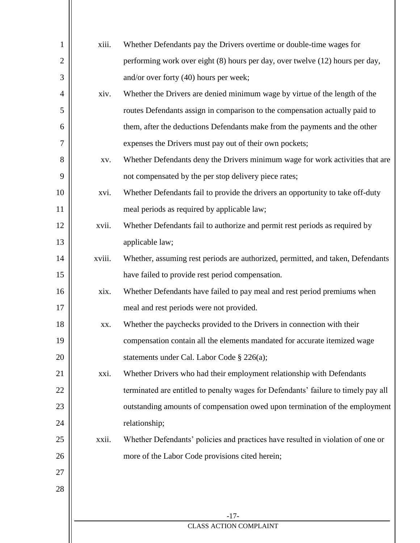| $\mathbf{1}$   | xiii.  | Whether Defendants pay the Drivers overtime or double-time wages for               |
|----------------|--------|------------------------------------------------------------------------------------|
| $\overline{2}$ |        | performing work over eight (8) hours per day, over twelve (12) hours per day,      |
| 3              |        | and/or over forty (40) hours per week;                                             |
| $\overline{4}$ | xiv.   | Whether the Drivers are denied minimum wage by virtue of the length of the         |
| 5              |        | routes Defendants assign in comparison to the compensation actually paid to        |
| 6              |        | them, after the deductions Defendants make from the payments and the other         |
| 7              |        | expenses the Drivers must pay out of their own pockets;                            |
| 8              | XV.    | Whether Defendants deny the Drivers minimum wage for work activities that are      |
| 9              |        | not compensated by the per stop delivery piece rates;                              |
| 10             | xvi.   | Whether Defendants fail to provide the drivers an opportunity to take off-duty     |
| 11             |        | meal periods as required by applicable law;                                        |
| 12             | xvii.  | Whether Defendants fail to authorize and permit rest periods as required by        |
| 13             |        | applicable law;                                                                    |
| 14             | xviii. | Whether, assuming rest periods are authorized, permitted, and taken, Defendants    |
| 15             |        | have failed to provide rest period compensation.                                   |
| 16             | xix.   | Whether Defendants have failed to pay meal and rest period premiums when           |
| 17             |        | meal and rest periods were not provided.                                           |
| 18             | XX.    | Whether the paychecks provided to the Drivers in connection with their             |
| 19             |        | compensation contain all the elements mandated for accurate itemized wage          |
| 20             |        | statements under Cal. Labor Code § 226(a);                                         |
| 21             | xxi.   | Whether Drivers who had their employment relationship with Defendants              |
| 22             |        | terminated are entitled to penalty wages for Defendants' failure to timely pay all |
| 23             |        | outstanding amounts of compensation owed upon termination of the employment        |
| 24             |        | relationship;                                                                      |
| 25             | xxii.  | Whether Defendants' policies and practices have resulted in violation of one or    |
| 26             |        | more of the Labor Code provisions cited herein;                                    |
| 27             |        |                                                                                    |
| 28             |        |                                                                                    |
|                |        |                                                                                    |
|                |        | $-17-$<br><b>CLASS ACTION COMPLAINT</b>                                            |
|                |        |                                                                                    |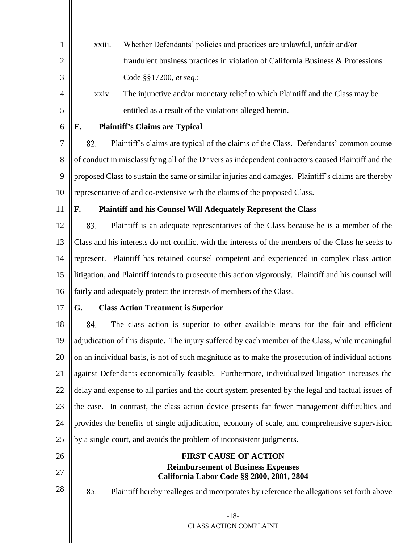| $\mathbf{1}$   | Whether Defendants' policies and practices are unlawful, unfair and/or<br>xxiii.                      |
|----------------|-------------------------------------------------------------------------------------------------------|
| $\overline{2}$ | fraudulent business practices in violation of California Business & Professions                       |
| 3              | Code §§17200, et seq.;                                                                                |
| $\overline{4}$ | xxiv.<br>The injunctive and/or monetary relief to which Plaintiff and the Class may be                |
| 5              | entitled as a result of the violations alleged herein.                                                |
| 6              | <b>Plaintiff's Claims are Typical</b><br>Е.                                                           |
| $\overline{7}$ | Plaintiff's claims are typical of the claims of the Class. Defendants' common course<br>82.           |
| 8              | of conduct in misclassifying all of the Drivers as independent contractors caused Plaintiff and the   |
| 9              | proposed Class to sustain the same or similar injuries and damages. Plaintiff's claims are thereby    |
| 10             | representative of and co-extensive with the claims of the proposed Class.                             |
| 11             | Plaintiff and his Counsel Will Adequately Represent the Class<br>F.                                   |
| 12             | 83.<br>Plaintiff is an adequate representatives of the Class because he is a member of the            |
| 13             | Class and his interests do not conflict with the interests of the members of the Class he seeks to    |
| 14             | represent. Plaintiff has retained counsel competent and experienced in complex class action           |
| 15             | litigation, and Plaintiff intends to prosecute this action vigorously. Plaintiff and his counsel will |
| 16             | fairly and adequately protect the interests of members of the Class.                                  |
| 17             | G.<br><b>Class Action Treatment is Superior</b>                                                       |
| 18             | 84.<br>The class action is superior to other available means for the fair and efficient               |
| 19             | adjudication of this dispute. The injury suffered by each member of the Class, while meaningful       |
| 20             | on an individual basis, is not of such magnitude as to make the prosecution of individual actions     |
| 21             | against Defendants economically feasible. Furthermore, individualized litigation increases the        |
| 22             | delay and expense to all parties and the court system presented by the legal and factual issues of    |
| 23             | the case. In contrast, the class action device presents far fewer management difficulties and         |
| 24             | provides the benefits of single adjudication, economy of scale, and comprehensive supervision         |
| 25             | by a single court, and avoids the problem of inconsistent judgments.                                  |
| 26             | <b>FIRST CAUSE OF ACTION</b>                                                                          |
| 27             | <b>Reimbursement of Business Expenses</b><br>California Labor Code §§ 2800, 2801, 2804                |
| 28             | 85.<br>Plaintiff hereby realleges and incorporates by reference the allegations set forth above       |
|                | $-18-$                                                                                                |
|                | <b>CLASS ACTION COMPLAINT</b>                                                                         |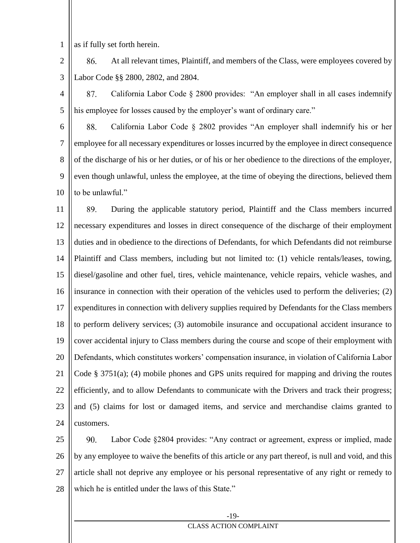1 as if fully set forth herein.

2 86. At all relevant times, Plaintiff, and members of the Class, were employees covered by 3 Labor Code §§ 2800, 2802, and 2804.

87. California Labor Code § 2800 provides: "An employer shall in all cases indemnify 4 5 his employee for losses caused by the employer's want of ordinary care."

88. 6 California Labor Code § 2802 provides "An employer shall indemnify his or her 7 employee for all necessary expenditures or losses incurred by the employee in direct consequence 8 of the discharge of his or her duties, or of his or her obedience to the directions of the employer, 9 even though unlawful, unless the employee, at the time of obeying the directions, believed them 10 to be unlawful."

11 89. During the applicable statutory period, Plaintiff and the Class members incurred 12 necessary expenditures and losses in direct consequence of the discharge of their employment 13 duties and in obedience to the directions of Defendants, for which Defendants did not reimburse 14 Plaintiff and Class members, including but not limited to: (1) vehicle rentals/leases, towing, 15 diesel/gasoline and other fuel, tires, vehicle maintenance, vehicle repairs, vehicle washes, and 16 insurance in connection with their operation of the vehicles used to perform the deliveries; (2) 17 expenditures in connection with delivery supplies required by Defendants for the Class members 18 to perform delivery services; (3) automobile insurance and occupational accident insurance to 19 cover accidental injury to Class members during the course and scope of their employment with 20 Defendants, which constitutes workers' compensation insurance, in violation of California Labor 21 Code §  $3751(a)$ ; (4) mobile phones and GPS units required for mapping and driving the routes 22 efficiently, and to allow Defendants to communicate with the Drivers and track their progress; 23 and (5) claims for lost or damaged items, and service and merchandise claims granted to 24 customers.

25 90. Labor Code §2804 provides: "Any contract or agreement, express or implied, made 26 by any employee to waive the benefits of this article or any part thereof, is null and void, and this 27 article shall not deprive any employee or his personal representative of any right or remedy to 28 which he is entitled under the laws of this State."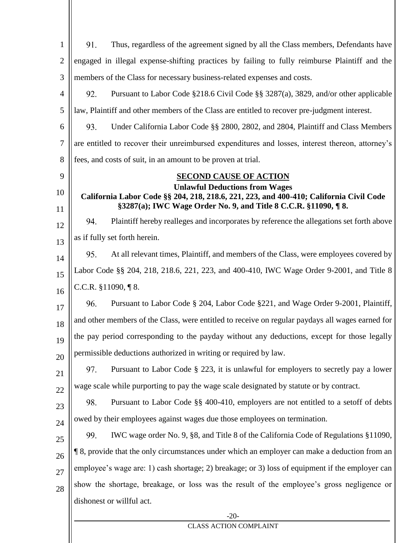| $\mathbf{1}$   | 91.<br>Thus, regardless of the agreement signed by all the Class members, Defendants have                                       |
|----------------|---------------------------------------------------------------------------------------------------------------------------------|
| $\overline{2}$ | engaged in illegal expense-shifting practices by failing to fully reimburse Plaintiff and the                                   |
| 3              | members of the Class for necessary business-related expenses and costs.                                                         |
| 4              | 92.<br>Pursuant to Labor Code §218.6 Civil Code §§ 3287(a), 3829, and/or other applicable                                       |
| 5              | law, Plaintiff and other members of the Class are entitled to recover pre-judgment interest.                                    |
| 6              | 93.<br>Under California Labor Code §§ 2800, 2802, and 2804, Plaintiff and Class Members                                         |
| $\tau$         | are entitled to recover their unreimbursed expenditures and losses, interest thereon, attorney's                                |
| 8              | fees, and costs of suit, in an amount to be proven at trial.                                                                    |
| 9              | <b>SECOND CAUSE OF ACTION</b>                                                                                                   |
| 10             | <b>Unlawful Deductions from Wages</b><br>California Labor Code §§ 204, 218, 218.6, 221, 223, and 400-410; California Civil Code |
| 11             | §3287(a); IWC Wage Order No. 9, and Title 8 C.C.R. §11090, ¶ 8.                                                                 |
| 12             | 94.<br>Plaintiff hereby realleges and incorporates by reference the allegations set forth above                                 |
| 13             | as if fully set forth herein.                                                                                                   |
| 14             | 95.<br>At all relevant times, Plaintiff, and members of the Class, were employees covered by                                    |
| 15             | Labor Code §§ 204, 218, 218.6, 221, 223, and 400-410, IWC Wage Order 9-2001, and Title 8                                        |
| 16             | C.C.R. $§11090$ , ¶ 8.                                                                                                          |
| 17             | 96.<br>Pursuant to Labor Code § 204, Labor Code § 221, and Wage Order 9-2001, Plaintiff,                                        |
| 18             | and other members of the Class, were entitled to receive on regular paydays all wages earned for                                |
| 19             | the pay period corresponding to the payday without any deductions, except for those legally                                     |
| 20             | permissible deductions authorized in writing or required by law.                                                                |
| 21             | 97.<br>Pursuant to Labor Code $\S$ 223, it is unlawful for employers to secretly pay a lower                                    |
| 22             | wage scale while purporting to pay the wage scale designated by statute or by contract.                                         |
| 23             | 98.<br>Pursuant to Labor Code §§ 400-410, employers are not entitled to a set off of debts                                      |
| 24             | owed by their employees against wages due those employees on termination.                                                       |
| 25             | 99.<br>IWC wage order No. 9, §8, and Title 8 of the California Code of Regulations §11090,                                      |
| 26             | 18, provide that the only circumstances under which an employer can make a deduction from an                                    |
| 27             | employee's wage are: 1) cash shortage; 2) breakage; or 3) loss of equipment if the employer can                                 |
| 28             | show the shortage, breakage, or loss was the result of the employee's gross negligence or                                       |
|                | dishonest or willful act.                                                                                                       |
|                | $-20-$                                                                                                                          |
|                | <b>CLASS ACTION COMPLAINT</b>                                                                                                   |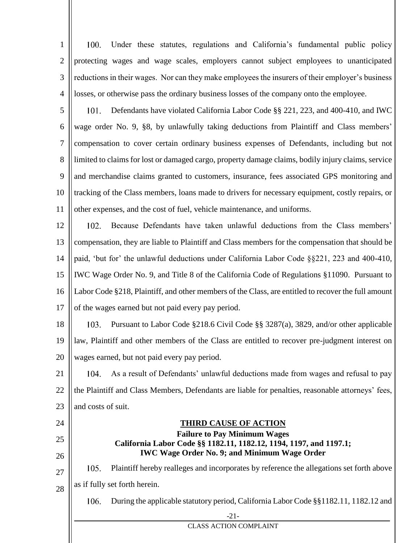| $\mathbf{1}$   | Under these statutes, regulations and California's fundamental public policy<br>100.                      |
|----------------|-----------------------------------------------------------------------------------------------------------|
| $\overline{2}$ | protecting wages and wage scales, employers cannot subject employees to unanticipated                     |
| 3              | reductions in their wages. Nor can they make employees the insurers of their employer's business          |
| $\overline{4}$ | losses, or otherwise pass the ordinary business losses of the company onto the employee.                  |
| 5              | 101.<br>Defendants have violated California Labor Code §§ 221, 223, and 400-410, and IWC                  |
| 6              | wage order No. 9, §8, by unlawfully taking deductions from Plaintiff and Class members'                   |
| $\overline{7}$ | compensation to cover certain ordinary business expenses of Defendants, including but not                 |
| 8              | limited to claims for lost or damaged cargo, property damage claims, bodily injury claims, service        |
| 9              | and merchandise claims granted to customers, insurance, fees associated GPS monitoring and                |
| 10             | tracking of the Class members, loans made to drivers for necessary equipment, costly repairs, or          |
| 11             | other expenses, and the cost of fuel, vehicle maintenance, and uniforms.                                  |
| 12             | 102.<br>Because Defendants have taken unlawful deductions from the Class members'                         |
| 13             | compensation, they are liable to Plaintiff and Class members for the compensation that should be          |
| 14             | paid, 'but for' the unlawful deductions under California Labor Code §§221, 223 and 400-410,               |
| 15             | IWC Wage Order No. 9, and Title 8 of the California Code of Regulations §11090. Pursuant to               |
| 16             | Labor Code §218, Plaintiff, and other members of the Class, are entitled to recover the full amount       |
| 17             | of the wages earned but not paid every pay period.                                                        |
| 18             | Pursuant to Labor Code §218.6 Civil Code §§ 3287(a), 3829, and/or other applicable<br>103.                |
| 19             | law, Plaintiff and other members of the Class are entitled to recover pre-judgment interest on            |
| 20             | wages earned, but not paid every pay period.                                                              |
| 21             | As a result of Defendants' unlawful deductions made from wages and refusal to pay<br>104.                 |
| 22             | the Plaintiff and Class Members, Defendants are liable for penalties, reasonable attorneys' fees,         |
| 23             | and costs of suit.                                                                                        |
| 24             | <b>THIRD CAUSE OF ACTION</b>                                                                              |
| 25             | <b>Failure to Pay Minimum Wages</b><br>California Labor Code §§ 1182.11, 1182.12, 1194, 1197, and 1197.1; |
| 26             | IWC Wage Order No. 9; and Minimum Wage Order                                                              |
| 27             | 105.<br>Plaintiff hereby realleges and incorporates by reference the allegations set forth above          |
| 28             | as if fully set forth herein.                                                                             |
|                | 106.<br>During the applicable statutory period, California Labor Code §§1182.11, 1182.12 and              |
|                | $-21-$<br><b>CLASS ACTION COMPLAINT</b>                                                                   |
|                |                                                                                                           |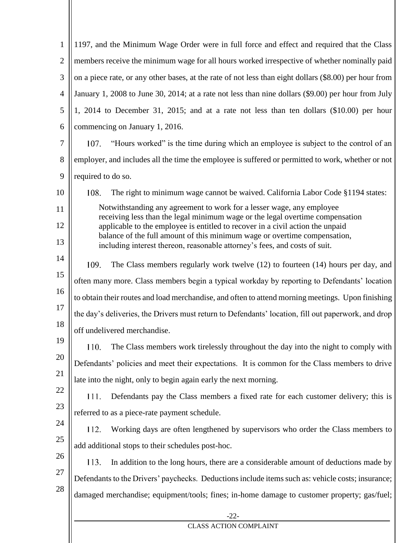| $\mathbf{1}$   | 1197, and the Minimum Wage Order were in full force and effect and required that the Class                                                                  |
|----------------|-------------------------------------------------------------------------------------------------------------------------------------------------------------|
| $\overline{2}$ | members receive the minimum wage for all hours worked irrespective of whether nominally paid                                                                |
| 3              | on a piece rate, or any other bases, at the rate of not less than eight dollars (\$8.00) per hour from                                                      |
| $\overline{4}$ | January 1, 2008 to June 30, 2014; at a rate not less than nine dollars (\$9.00) per hour from July                                                          |
| 5              | 1, 2014 to December 31, 2015; and at a rate not less than ten dollars (\$10.00) per hour                                                                    |
| 6              | commencing on January 1, 2016.                                                                                                                              |
| $\overline{7}$ | "Hours worked" is the time during which an employee is subject to the control of an<br>107.                                                                 |
| 8              | employer, and includes all the time the employee is suffered or permitted to work, whether or not                                                           |
| 9              | required to do so.                                                                                                                                          |
| 10             | 108.<br>The right to minimum wage cannot be waived. California Labor Code §1194 states:                                                                     |
| 11             | Notwithstanding any agreement to work for a lesser wage, any employee<br>receiving less than the legal minimum wage or the legal overtime compensation      |
| 12             | applicable to the employee is entitled to recover in a civil action the unpaid<br>balance of the full amount of this minimum wage or overtime compensation, |
| 13             | including interest thereon, reasonable attorney's fees, and costs of suit.                                                                                  |
| 14             | 109.<br>The Class members regularly work twelve (12) to fourteen (14) hours per day, and                                                                    |
| 15             | often many more. Class members begin a typical workday by reporting to Defendants' location                                                                 |
| 16             | to obtain their routes and load merchandise, and often to attend morning meetings. Upon finishing                                                           |
| 17             | the day's deliveries, the Drivers must return to Defendants' location, fill out paperwork, and drop                                                         |
| 18             | off undelivered merchandise.                                                                                                                                |
| 19             | 110.<br>The Class members work tirelessly throughout the day into the night to comply with                                                                  |
| 20             | Defendants' policies and meet their expectations. It is common for the Class members to drive                                                               |
| 21             | late into the night, only to begin again early the next morning.                                                                                            |
| 22             | 111.<br>Defendants pay the Class members a fixed rate for each customer delivery; this is                                                                   |
| 23             | referred to as a piece-rate payment schedule.                                                                                                               |
| 24             | 112.<br>Working days are often lengthened by supervisors who order the Class members to                                                                     |
| 25             | add additional stops to their schedules post-hoc.                                                                                                           |
| 26             | 113.<br>In addition to the long hours, there are a considerable amount of deductions made by                                                                |
| 27<br>28       | Defendants to the Drivers' paychecks. Deductions include items such as: vehicle costs; insurance;                                                           |
|                | damaged merchandise; equipment/tools; fines; in-home damage to customer property; gas/fuel;                                                                 |
|                | $-22-$                                                                                                                                                      |
|                | <b>CLASS ACTION COMPLAINT</b>                                                                                                                               |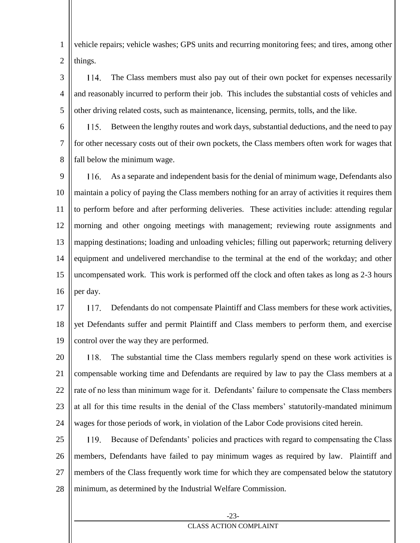1 2 vehicle repairs; vehicle washes; GPS units and recurring monitoring fees; and tires, among other things.

3 114. The Class members must also pay out of their own pocket for expenses necessarily and reasonably incurred to perform their job. This includes the substantial costs of vehicles and 4 5 other driving related costs, such as maintenance, licensing, permits, tolls, and the like.

6 115. Between the lengthy routes and work days, substantial deductions, and the need to pay 7 for other necessary costs out of their own pockets, the Class members often work for wages that 8 fall below the minimum wage.

9 116. As a separate and independent basis for the denial of minimum wage, Defendants also 10 maintain a policy of paying the Class members nothing for an array of activities it requires them 11 to perform before and after performing deliveries. These activities include: attending regular 12 morning and other ongoing meetings with management; reviewing route assignments and 13 mapping destinations; loading and unloading vehicles; filling out paperwork; returning delivery 14 equipment and undelivered merchandise to the terminal at the end of the workday; and other 15 uncompensated work. This work is performed off the clock and often takes as long as 2-3 hours 16 per day.

17 117. Defendants do not compensate Plaintiff and Class members for these work activities, 18 yet Defendants suffer and permit Plaintiff and Class members to perform them, and exercise 19 control over the way they are performed.

20 118. The substantial time the Class members regularly spend on these work activities is 21 compensable working time and Defendants are required by law to pay the Class members at a 22 rate of no less than minimum wage for it. Defendants' failure to compensate the Class members 23 at all for this time results in the denial of the Class members' statutorily-mandated minimum 24 wages for those periods of work, in violation of the Labor Code provisions cited herein.

25 119. Because of Defendants' policies and practices with regard to compensating the Class 26 members, Defendants have failed to pay minimum wages as required by law. Plaintiff and 27 members of the Class frequently work time for which they are compensated below the statutory 28 minimum, as determined by the Industrial Welfare Commission.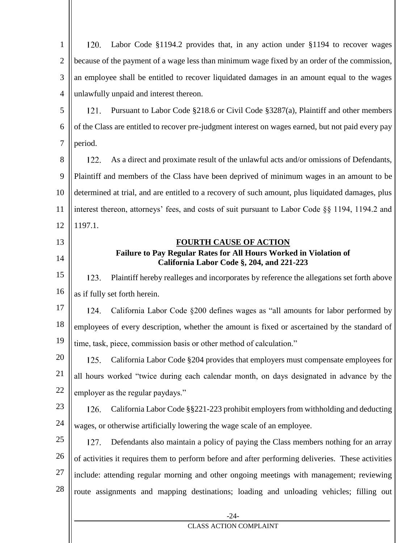| $\mathbf{1}$   | 120.<br>Labor Code $§1194.2$ provides that, in any action under $§1194$ to recover wages                       |
|----------------|----------------------------------------------------------------------------------------------------------------|
| $\overline{2}$ | because of the payment of a wage less than minimum wage fixed by an order of the commission,                   |
| 3              | an employee shall be entitled to recover liquidated damages in an amount equal to the wages                    |
| $\overline{4}$ | unlawfully unpaid and interest thereon.                                                                        |
| 5              | 121.<br>Pursuant to Labor Code §218.6 or Civil Code §3287(a), Plaintiff and other members                      |
| 6              | of the Class are entitled to recover pre-judgment interest on wages earned, but not paid every pay             |
| $\overline{7}$ | period.                                                                                                        |
| 8              | As a direct and proximate result of the unlawful acts and/or omissions of Defendants,<br>122.                  |
| 9              | Plaintiff and members of the Class have been deprived of minimum wages in an amount to be                      |
| 10             | determined at trial, and are entitled to a recovery of such amount, plus liquidated damages, plus              |
| 11             | interest thereon, attorneys' fees, and costs of suit pursuant to Labor Code §§ 1194, 1194.2 and                |
| 12             | 1197.1.                                                                                                        |
| 13             | <b>FOURTH CAUSE OF ACTION</b>                                                                                  |
| 14             | Failure to Pay Regular Rates for All Hours Worked in Violation of<br>California Labor Code §, 204, and 221-223 |
| 15             | 123.<br>Plaintiff hereby realleges and incorporates by reference the allegations set forth above               |
| 16             | as if fully set forth herein.                                                                                  |
| 17             | California Labor Code §200 defines wages as "all amounts for labor performed by<br>124.                        |
| 18             | employees of every description, whether the amount is fixed or ascertained by the standard of                  |
| 19             | time, task, piece, commission basis or other method of calculation."                                           |
| 20             | California Labor Code §204 provides that employers must compensate employees for<br>125.                       |
| 21             | all hours worked "twice during each calendar month, on days designated in advance by the                       |
| 22             | employer as the regular paydays."                                                                              |
| 23             | California Labor Code §§221-223 prohibit employers from withholding and deducting<br>126.                      |
| 24             | wages, or otherwise artificially lowering the wage scale of an employee.                                       |
| 25             | Defendants also maintain a policy of paying the Class members nothing for an array<br>127.                     |
| 26             | of activities it requires them to perform before and after performing deliveries. These activities             |
| 27             | include: attending regular morning and other ongoing meetings with management; reviewing                       |
| 28             | route assignments and mapping destinations; loading and unloading vehicles; filling out                        |
|                | $-24-$                                                                                                         |
|                | <b>CLASS ACTION COMPLAINT</b>                                                                                  |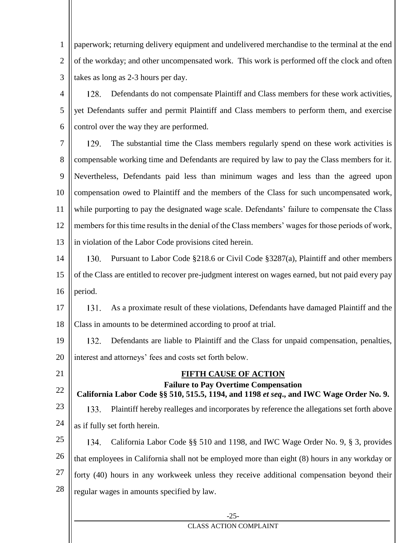1 2 3 paperwork; returning delivery equipment and undelivered merchandise to the terminal at the end of the workday; and other uncompensated work. This work is performed off the clock and often takes as long as 2-3 hours per day.

Defendants do not compensate Plaintiff and Class members for these work activities, 4 128. 5 yet Defendants suffer and permit Plaintiff and Class members to perform them, and exercise 6 control over the way they are performed.

7 129. The substantial time the Class members regularly spend on these work activities is 8 compensable working time and Defendants are required by law to pay the Class members for it. 9 Nevertheless, Defendants paid less than minimum wages and less than the agreed upon 10 compensation owed to Plaintiff and the members of the Class for such uncompensated work, 11 while purporting to pay the designated wage scale. Defendants' failure to compensate the Class 12 members for this time results in the denial of the Class members' wages for those periods of work, 13 in violation of the Labor Code provisions cited herein.

14 Pursuant to Labor Code §218.6 or Civil Code §3287(a), Plaintiff and other members  $130.$ 15 of the Class are entitled to recover pre-judgment interest on wages earned, but not paid every pay 16 period.

17 131. As a proximate result of these violations, Defendants have damaged Plaintiff and the 18 Class in amounts to be determined according to proof at trial.

19 132. Defendants are liable to Plaintiff and the Class for unpaid compensation, penalties, 20 interest and attorneys' fees and costs set forth below.

# **FIFTH CAUSE OF ACTION**

**Failure to Pay Overtime Compensation** 22 **California Labor Code §§ 510, 515.5, 1194, and 1198** *et seq***., and IWC Wage Order No. 9.** 23 133. Plaintiff hereby realleges and incorporates by reference the allegations set forth above

24 as if fully set forth herein.

21

25 26 27 28 California Labor Code §§ 510 and 1198, and IWC Wage Order No. 9, § 3, provides that employees in California shall not be employed more than eight (8) hours in any workday or forty (40) hours in any workweek unless they receive additional compensation beyond their regular wages in amounts specified by law.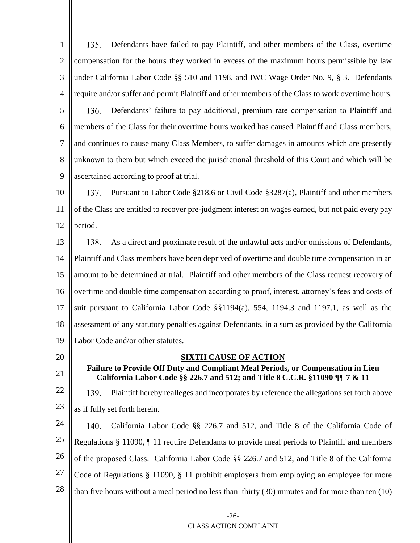1  $135.$ Defendants have failed to pay Plaintiff, and other members of the Class, overtime 2 compensation for the hours they worked in excess of the maximum hours permissible by law 3 under California Labor Code §§ 510 and 1198, and IWC Wage Order No. 9, § 3. Defendants 4 require and/or suffer and permit Plaintiff and other members of the Class to work overtime hours.

5 Defendants' failure to pay additional, premium rate compensation to Plaintiff and 136. 6 members of the Class for their overtime hours worked has caused Plaintiff and Class members, 7 and continues to cause many Class Members, to suffer damages in amounts which are presently 8 unknown to them but which exceed the jurisdictional threshold of this Court and which will be 9 ascertained according to proof at trial.

10 137. Pursuant to Labor Code §218.6 or Civil Code §3287(a), Plaintiff and other members 11 of the Class are entitled to recover pre-judgment interest on wages earned, but not paid every pay 12 period.

13 138. As a direct and proximate result of the unlawful acts and/or omissions of Defendants, 14 Plaintiff and Class members have been deprived of overtime and double time compensation in an 15 amount to be determined at trial. Plaintiff and other members of the Class request recovery of overtime and double time compensation according to proof, interest, attorney's fees and costs of 16 17 suit pursuant to California Labor Code  $\S$ [\$1194(a), 554, 1194.3 and 1197.1, as well as the 18 assessment of any statutory penalties against Defendants, in a sum as provided by the California 19 Labor Code and/or other statutes.

- 20
- 21

#### **SIXTH CAUSE OF ACTION**

**Failure to Provide Off Duty and Compliant Meal Periods, or Compensation in Lieu California Labor Code §§ 226.7 and 512; and Title 8 C.C.R. §11090 ¶¶ 7 & 11**

22 Plaintiff hereby realleges and incorporates by reference the allegations set forth above 139. 23 as if fully set forth herein.

24 25 26 27 28 California Labor Code §§ 226.7 and 512, and Title 8 of the California Code of Regulations § 11090, ¶ 11 require Defendants to provide meal periods to Plaintiff and members of the proposed Class. California Labor Code §§ 226.7 and 512, and Title 8 of the California Code of Regulations § 11090, § 11 prohibit employers from employing an employee for more than five hours without a meal period no less than thirty (30) minutes and for more than ten (10)

-26-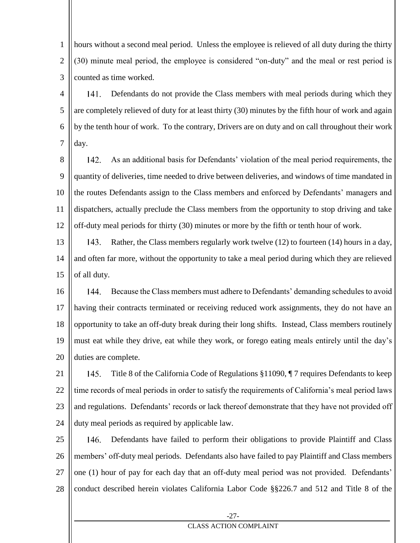1 2 3 hours without a second meal period. Unless the employee is relieved of all duty during the thirty (30) minute meal period, the employee is considered "on-duty" and the meal or rest period is counted as time worked.

 $141.$ Defendants do not provide the Class members with meal periods during which they 4 5 are completely relieved of duty for at least thirty (30) minutes by the fifth hour of work and again 6 by the tenth hour of work. To the contrary, Drivers are on duty and on call throughout their work 7 day.

8 142. As an additional basis for Defendants' violation of the meal period requirements, the 9 quantity of deliveries, time needed to drive between deliveries, and windows of time mandated in 10 the routes Defendants assign to the Class members and enforced by Defendants' managers and 11 dispatchers, actually preclude the Class members from the opportunity to stop driving and take 12 off-duty meal periods for thirty (30) minutes or more by the fifth or tenth hour of work.

13 14 15 143. Rather, the Class members regularly work twelve (12) to fourteen (14) hours in a day, and often far more, without the opportunity to take a meal period during which they are relieved of all duty.

16 Because the Class members must adhere to Defendants' demanding schedules to avoid 144. having their contracts terminated or receiving reduced work assignments, they do not have an 17 18 opportunity to take an off-duty break during their long shifts. Instead, Class members routinely 19 must eat while they drive, eat while they work, or forego eating meals entirely until the day's 20 duties are complete.

21  $145.$ Title 8 of the California Code of Regulations §11090, ¶ 7 requires Defendants to keep 22 time records of meal periods in order to satisfy the requirements of California's meal period laws 23 and regulations. Defendants' records or lack thereof demonstrate that they have not provided off 24 duty meal periods as required by applicable law.

25 146. Defendants have failed to perform their obligations to provide Plaintiff and Class 26 members' off-duty meal periods. Defendants also have failed to pay Plaintiff and Class members 27 one (1) hour of pay for each day that an off-duty meal period was not provided. Defendants' 28 conduct described herein violates California Labor Code §§226.7 and 512 and Title 8 of the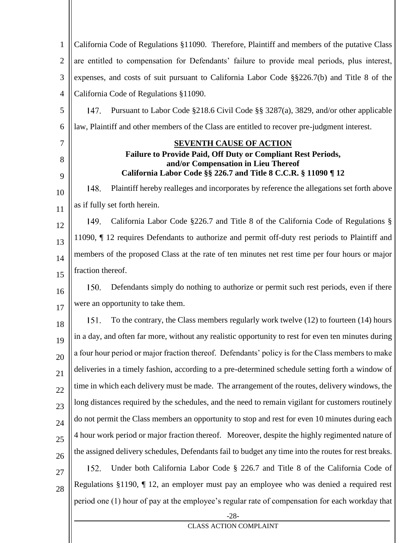| $\mathbf{1}$   | California Code of Regulations §11090. Therefore, Plaintiff and members of the putative Class        |
|----------------|------------------------------------------------------------------------------------------------------|
| $\overline{2}$ | are entitled to compensation for Defendants' failure to provide meal periods, plus interest,         |
| 3              | expenses, and costs of suit pursuant to California Labor Code §§226.7(b) and Title 8 of the          |
| 4              | California Code of Regulations §11090.                                                               |
| 5              | 147.<br>Pursuant to Labor Code §218.6 Civil Code §§ 3287(a), 3829, and/or other applicable           |
| 6              | law, Plaintiff and other members of the Class are entitled to recover pre-judgment interest.         |
| 7              | <b>SEVENTH CAUSE OF ACTION</b>                                                                       |
| 8              | Failure to Provide Paid, Off Duty or Compliant Rest Periods,<br>and/or Compensation in Lieu Thereof  |
| 9              | California Labor Code §§ 226.7 and Title 8 C.C.R. § 11090 ¶ 12                                       |
| 10             | Plaintiff hereby realleges and incorporates by reference the allegations set forth above<br>148.     |
| 11             | as if fully set forth herein.                                                                        |
| 12             | 149.<br>California Labor Code $\S 226.7$ and Title 8 of the California Code of Regulations $\S$      |
| 13             | 11090, ¶ 12 requires Defendants to authorize and permit off-duty rest periods to Plaintiff and       |
| 14             | members of the proposed Class at the rate of ten minutes net rest time per four hours or major       |
| 15             | fraction thereof.                                                                                    |
| 16             | 150.<br>Defendants simply do nothing to authorize or permit such rest periods, even if there         |
| 17             | were an opportunity to take them.                                                                    |
| 18             | To the contrary, the Class members regularly work twelve (12) to fourteen (14) hours<br>151.         |
| 19             | in a day, and often far more, without any realistic opportunity to rest for even ten minutes during  |
| 20             | a four hour period or major fraction thereof. Defendants' policy is for the Class members to make    |
| 21             | deliveries in a timely fashion, according to a pre-determined schedule setting forth a window of     |
| 22             | time in which each delivery must be made. The arrangement of the routes, delivery windows, the       |
| 23             | long distances required by the schedules, and the need to remain vigilant for customers routinely    |
| 24             | do not permit the Class members an opportunity to stop and rest for even 10 minutes during each      |
| 25             | 4 hour work period or major fraction thereof. Moreover, despite the highly regimented nature of      |
| 26             | the assigned delivery schedules, Defendants fail to budget any time into the routes for rest breaks. |
| 27             | Under both California Labor Code § 226.7 and Title 8 of the California Code of<br>152.               |
| 28             | Regulations $§1190$ , $\P$ 12, an employer must pay an employee who was denied a required rest       |
|                | period one (1) hour of pay at the employee's regular rate of compensation for each workday that      |
|                | $-28-$                                                                                               |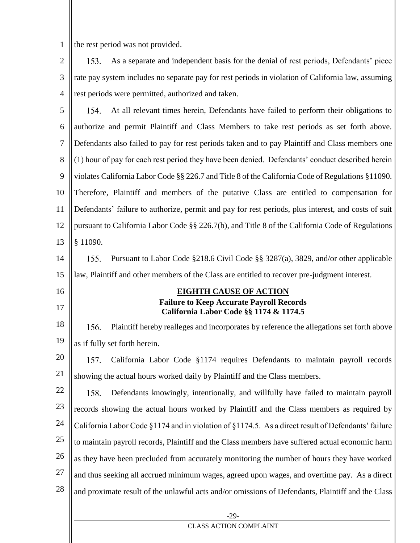1 the rest period was not provided.

16

17

2 3 4 As a separate and independent basis for the denial of rest periods, Defendants' piece rate pay system includes no separate pay for rest periods in violation of California law, assuming rest periods were permitted, authorized and taken.

5 At all relevant times herein, Defendants have failed to perform their obligations to 154. 6 authorize and permit Plaintiff and Class Members to take rest periods as set forth above. 7 Defendants also failed to pay for rest periods taken and to pay Plaintiff and Class members one 8 (1) hour of pay for each rest period they have been denied. Defendants' conduct described herein 9 violates California Labor Code §§ 226.7 and Title 8 of the California Code of Regulations §11090. 10 Therefore, Plaintiff and members of the putative Class are entitled to compensation for 11 Defendants' failure to authorize, permit and pay for rest periods, plus interest, and costs of suit 12 pursuant to California Labor Code §§ 226.7(b), and Title 8 of the California Code of Regulations 13 § 11090.

14 Pursuant to Labor Code §218.6 Civil Code §§ 3287(a), 3829, and/or other applicable 155. 15 law, Plaintiff and other members of the Class are entitled to recover pre-judgment interest.

#### **EIGHTH CAUSE OF ACTION**

### **Failure to Keep Accurate Payroll Records California Labor Code §§ 1174 & 1174.5**

18 156. Plaintiff hereby realleges and incorporates by reference the allegations set forth above 19 as if fully set forth herein.

20 California Labor Code §1174 requires Defendants to maintain payroll records 157. 21 showing the actual hours worked daily by Plaintiff and the Class members.

22 158. Defendants knowingly, intentionally, and willfully have failed to maintain payroll 23 records showing the actual hours worked by Plaintiff and the Class members as required by 24 California Labor Code §1174 and in violation of §1174.5. As a direct result of Defendants' failure 25 to maintain payroll records, Plaintiff and the Class members have suffered actual economic harm 26 as they have been precluded from accurately monitoring the number of hours they have worked 27 and thus seeking all accrued minimum wages, agreed upon wages, and overtime pay. As a direct 28 and proximate result of the unlawful acts and/or omissions of Defendants, Plaintiff and the Class

-29-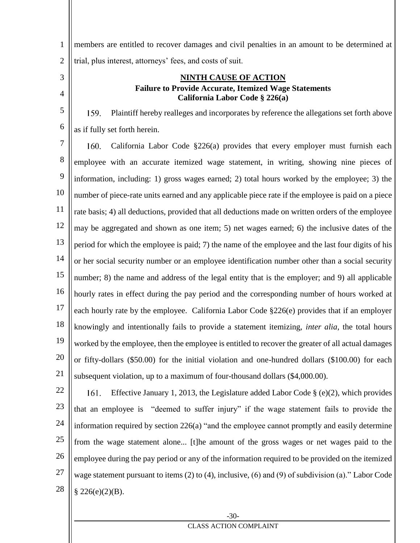1 2 members are entitled to recover damages and civil penalties in an amount to be determined at trial, plus interest, attorneys' fees, and costs of suit.

3

4

#### **NINTH CAUSE OF ACTION Failure to Provide Accurate, Itemized Wage Statements California Labor Code § 226(a)**

5 159. Plaintiff hereby realleges and incorporates by reference the allegations set forth above 6 as if fully set forth herein.

7 8 9 10 11 12 13 14 15 16 17 18 19 20 21 160. California Labor Code §226(a) provides that every employer must furnish each employee with an accurate itemized wage statement, in writing, showing nine pieces of information, including: 1) gross wages earned; 2) total hours worked by the employee; 3) the number of piece-rate units earned and any applicable piece rate if the employee is paid on a piece rate basis; 4) all deductions, provided that all deductions made on written orders of the employee may be aggregated and shown as one item; 5) net wages earned; 6) the inclusive dates of the period for which the employee is paid; 7) the name of the employee and the last four digits of his or her social security number or an employee identification number other than a social security number; 8) the name and address of the legal entity that is the employer; and 9) all applicable hourly rates in effect during the pay period and the corresponding number of hours worked at each hourly rate by the employee. California Labor Code §226(e) provides that if an employer knowingly and intentionally fails to provide a statement itemizing, *inter alia*, the total hours worked by the employee, then the employee is entitled to recover the greater of all actual damages or fifty-dollars (\$50.00) for the initial violation and one-hundred dollars (\$100.00) for each subsequent violation, up to a maximum of four-thousand dollars (\$4,000.00).

22 161. Effective January 1, 2013, the Legislature added Labor Code  $\S(e)(2)$ , which provides 23 that an employee is "deemed to suffer injury" if the wage statement fails to provide the 24 information required by section 226(a) "and the employee cannot promptly and easily determine 25 from the wage statement alone... [t]he amount of the gross wages or net wages paid to the 26 employee during the pay period or any of the information required to be provided on the itemized 27 wage statement pursuant to items (2) to (4), inclusive, (6) and (9) of subdivision (a)." Labor Code 28  $$226(e)(2)(B).$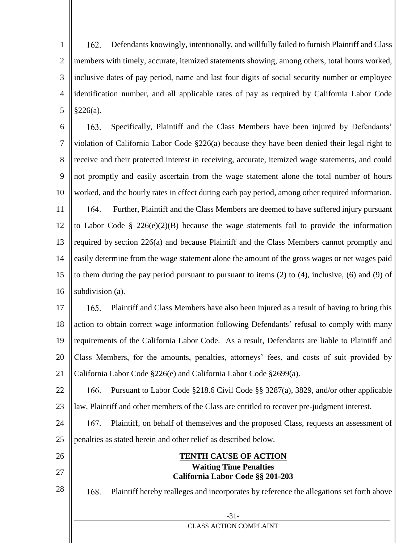1 162. Defendants knowingly, intentionally, and willfully failed to furnish Plaintiff and Class 2 members with timely, accurate, itemized statements showing, among others, total hours worked, 3 inclusive dates of pay period, name and last four digits of social security number or employee 4 identification number, and all applicable rates of pay as required by California Labor Code 5  $$226(a).$ 

163. 6 Specifically, Plaintiff and the Class Members have been injured by Defendants' 7 violation of California Labor Code §226(a) because they have been denied their legal right to 8 receive and their protected interest in receiving, accurate, itemized wage statements, and could 9 not promptly and easily ascertain from the wage statement alone the total number of hours 10 worked, and the hourly rates in effect during each pay period, among other required information. 11 164. Further, Plaintiff and the Class Members are deemed to have suffered injury pursuant 12 to Labor Code  $\S$  226(e)(2)(B) because the wage statements fail to provide the information 13 required by section 226(a) and because Plaintiff and the Class Members cannot promptly and 14 easily determine from the wage statement alone the amount of the gross wages or net wages paid 15 to them during the pay period pursuant to pursuant to items (2) to (4), inclusive, (6) and (9) of subdivision (a). 16

17 165. Plaintiff and Class Members have also been injured as a result of having to bring this 18 action to obtain correct wage information following Defendants' refusal to comply with many 19 requirements of the California Labor Code. As a result, Defendants are liable to Plaintiff and 20 Class Members, for the amounts, penalties, attorneys' fees, and costs of suit provided by 21 California Labor Code §226(e) and California Labor Code §2699(a).

22 166. Pursuant to Labor Code §218.6 Civil Code §§ 3287(a), 3829, and/or other applicable 23 law, Plaintiff and other members of the Class are entitled to recover pre-judgment interest.

24 167. Plaintiff, on behalf of themselves and the proposed Class, requests an assessment of 25 penalties as stated herein and other relief as described below.

> **TENTH CAUSE OF ACTION Waiting Time Penalties California Labor Code §§ 201-203**

# 26

27

28

168. Plaintiff hereby realleges and incorporates by reference the allegations set forth above

#### -31-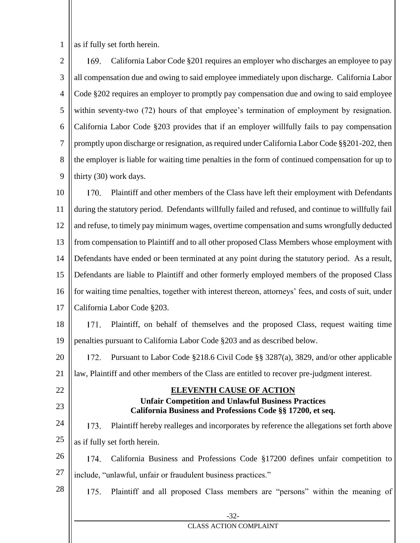1 as if fully set forth herein.

2 3 4 5 6 7 8 9 California Labor Code §201 requires an employer who discharges an employee to pay all compensation due and owing to said employee immediately upon discharge. California Labor Code §202 requires an employer to promptly pay compensation due and owing to said employee within seventy-two (72) hours of that employee's termination of employment by resignation. California Labor Code §203 provides that if an employer willfully fails to pay compensation promptly upon discharge or resignation, as required under California Labor Code §§201-202, then the employer is liable for waiting time penalties in the form of continued compensation for up to thirty (30) work days.

10 11 12 13 14 15 16 17 170. Plaintiff and other members of the Class have left their employment with Defendants during the statutory period. Defendants willfully failed and refused, and continue to willfully fail and refuse, to timely pay minimum wages, overtime compensation and sums wrongfully deducted from compensation to Plaintiff and to all other proposed Class Members whose employment with Defendants have ended or been terminated at any point during the statutory period. As a result, Defendants are liable to Plaintiff and other formerly employed members of the proposed Class for waiting time penalties, together with interest thereon, attorneys' fees, and costs of suit, under California Labor Code §203.

18 171. Plaintiff, on behalf of themselves and the proposed Class, request waiting time 19 penalties pursuant to California Labor Code §203 and as described below.

20 Pursuant to Labor Code §218.6 Civil Code §§ 3287(a), 3829, and/or other applicable 172. 21 law, Plaintiff and other members of the Class are entitled to recover pre-judgment interest.

22

23

# **ELEVENTH CAUSE OF ACTION**

### **Unfair Competition and Unlawful Business Practices California Business and Professions Code §§ 17200, et seq.**

24 173. Plaintiff hereby realleges and incorporates by reference the allegations set forth above 25 as if fully set forth herein.

26 27 California Business and Professions Code §17200 defines unfair competition to include, "unlawful, unfair or fraudulent business practices."

28

 $175.$ 

-32-

#### CLASS ACTION COMPLAINT

Plaintiff and all proposed Class members are "persons" within the meaning of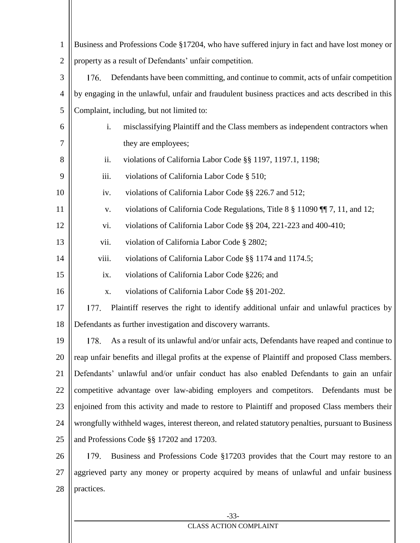| $\mathbf{1}$   | Business and Professions Code §17204, who have suffered injury in fact and have lost money or      |
|----------------|----------------------------------------------------------------------------------------------------|
| $\mathbf{2}$   | property as a result of Defendants' unfair competition.                                            |
| 3              | Defendants have been committing, and continue to commit, acts of unfair competition<br>176.        |
| $\overline{4}$ | by engaging in the unlawful, unfair and fraudulent business practices and acts described in this   |
| 5              | Complaint, including, but not limited to:                                                          |
| 6              | i.<br>misclassifying Plaintiff and the Class members as independent contractors when               |
| 7              | they are employees;                                                                                |
| 8              | ii.<br>violations of California Labor Code §§ 1197, 1197.1, 1198;                                  |
| 9              | violations of California Labor Code § 510;<br>iii.                                                 |
| 10             | violations of California Labor Code §§ 226.7 and 512;<br>iv.                                       |
| 11             | violations of California Code Regulations, Title 8 $\S$ 11090 [ $\P$ ], 11, and 12;<br>${\bf V}$ . |
| 12             | violations of California Labor Code §§ 204, 221-223 and 400-410;<br>vi.                            |
| 13             | violation of California Labor Code § 2802;<br>vii.                                                 |
| 14             | violations of California Labor Code §§ 1174 and 1174.5;<br>viii.                                   |
| 15             | violations of California Labor Code §226; and<br>ix.                                               |
| 16             | violations of California Labor Code §§ 201-202.<br>Х.                                              |
| 17             | Plaintiff reserves the right to identify additional unfair and unlawful practices by<br>177.       |
| 18             | Defendants as further investigation and discovery warrants.                                        |
| 19             | As a result of its unlawful and/or unfair acts, Defendants have reaped and continue to<br>178.     |
| 20             | reap unfair benefits and illegal profits at the expense of Plaintiff and proposed Class members.   |
| 21             | Defendants' unlawful and/or unfair conduct has also enabled Defendants to gain an unfair           |
| 22             | competitive advantage over law-abiding employers and competitors. Defendants must be               |
| 23             | enjoined from this activity and made to restore to Plaintiff and proposed Class members their      |
| 24             | wrongfully withheld wages, interest thereon, and related statutory penalties, pursuant to Business |
| 25             | and Professions Code §§ 17202 and 17203.                                                           |
| 26             | Business and Professions Code §17203 provides that the Court may restore to an<br>179.             |
| 27             | aggrieved party any money or property acquired by means of unlawful and unfair business            |
| 28             | practices.                                                                                         |
|                |                                                                                                    |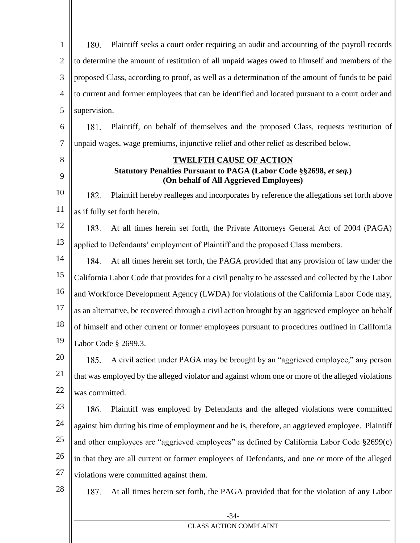| $\mathbf{1}$   | 180.<br>Plaintiff seeks a court order requiring an audit and accounting of the payroll records              |
|----------------|-------------------------------------------------------------------------------------------------------------|
| $\overline{2}$ | to determine the amount of restitution of all unpaid wages owed to himself and members of the               |
| 3              | proposed Class, according to proof, as well as a determination of the amount of funds to be paid            |
| $\overline{4}$ | to current and former employees that can be identified and located pursuant to a court order and            |
| 5              | supervision.                                                                                                |
| 6              | Plaintiff, on behalf of themselves and the proposed Class, requests restitution of<br>181.                  |
| 7              | unpaid wages, wage premiums, injunctive relief and other relief as described below.                         |
| 8              | <b>TWELFTH CAUSE OF ACTION</b>                                                                              |
| 9              | Statutory Penalties Pursuant to PAGA (Labor Code §§2698, et seq.)<br>(On behalf of All Aggrieved Employees) |
| 10             | 182.<br>Plaintiff hereby realleges and incorporates by reference the allegations set forth above            |
| 11             | as if fully set forth herein.                                                                               |
| 12             | 183.<br>At all times herein set forth, the Private Attorneys General Act of 2004 (PAGA)                     |
| 13             | applied to Defendants' employment of Plaintiff and the proposed Class members.                              |
| 14             | 184.<br>At all times herein set forth, the PAGA provided that any provision of law under the                |
| 15             | California Labor Code that provides for a civil penalty to be assessed and collected by the Labor           |
| 16             | and Workforce Development Agency (LWDA) for violations of the California Labor Code may,                    |
| 17             | as an alternative, be recovered through a civil action brought by an aggrieved employee on behalf           |
| 18             | of himself and other current or former employees pursuant to procedures outlined in California              |
| 19             | Labor Code § 2699.3.                                                                                        |
| 20             | A civil action under PAGA may be brought by an "aggrieved employee," any person<br>185.                     |
| 21             | that was employed by the alleged violator and against whom one or more of the alleged violations            |
| 22             | was committed.                                                                                              |
| 23             | Plaintiff was employed by Defendants and the alleged violations were committed<br>186.                      |
| 24             | against him during his time of employment and he is, therefore, an aggrieved employee. Plaintiff            |
| 25             | and other employees are "aggrieved employees" as defined by California Labor Code §2699(c)                  |
| 26             | in that they are all current or former employees of Defendants, and one or more of the alleged              |
| 27             | violations were committed against them.                                                                     |
| 28             | At all times herein set forth, the PAGA provided that for the violation of any Labor<br>187.                |
|                | $-34-$                                                                                                      |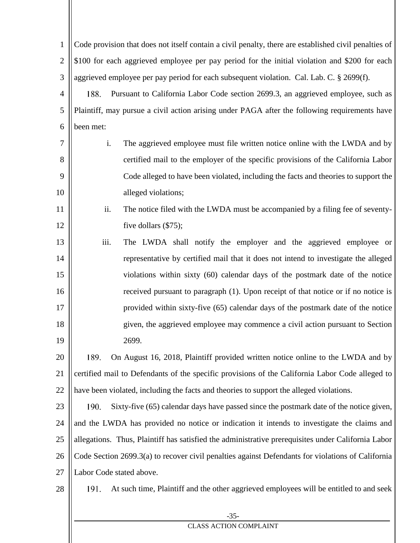| $\mathbf{1}$   | Code provision that does not itself contain a civil penalty, there are established civil penalties of |
|----------------|-------------------------------------------------------------------------------------------------------|
| $\overline{2}$ | \$100 for each aggrieved employee per pay period for the initial violation and \$200 for each         |
| 3              | aggrieved employee per pay period for each subsequent violation. Cal. Lab. C. § 2699(f).              |
| $\overline{4}$ | 188.<br>Pursuant to California Labor Code section 2699.3, an aggrieved employee, such as              |
| 5              | Plaintiff, may pursue a civil action arising under PAGA after the following requirements have         |
| 6              | been met:                                                                                             |
| 7              | i.<br>The aggrieved employee must file written notice online with the LWDA and by                     |
| 8              | certified mail to the employer of the specific provisions of the California Labor                     |
| 9              | Code alleged to have been violated, including the facts and theories to support the                   |
| 10             | alleged violations;                                                                                   |
| 11             | ii.<br>The notice filed with the LWDA must be accompanied by a filing fee of seventy-                 |
| 12             | five dollars $(\$75)$ ;                                                                               |
| 13             | iii.<br>The LWDA shall notify the employer and the aggrieved employee or                              |
| 14             | representative by certified mail that it does not intend to investigate the alleged                   |
| 15             | violations within sixty (60) calendar days of the postmark date of the notice                         |
| 16             | received pursuant to paragraph (1). Upon receipt of that notice or if no notice is                    |
| 17             | provided within sixty-five (65) calendar days of the postmark date of the notice                      |
| 18             | given, the aggrieved employee may commence a civil action pursuant to Section                         |
| 19             | 2699.                                                                                                 |
| 20             | On August 16, 2018, Plaintiff provided written notice online to the LWDA and by<br>189.               |
| 21             | certified mail to Defendants of the specific provisions of the California Labor Code alleged to       |
| 22             | have been violated, including the facts and theories to support the alleged violations.               |
| 23             | 190.<br>Sixty-five (65) calendar days have passed since the postmark date of the notice given,        |
| 24             | and the LWDA has provided no notice or indication it intends to investigate the claims and            |
| 25             | allegations. Thus, Plaintiff has satisfied the administrative prerequisites under California Labor    |
| 26             | Code Section 2699.3(a) to recover civil penalties against Defendants for violations of California     |
| 27             | Labor Code stated above.                                                                              |
| 28             | At such time, Plaintiff and the other aggrieved employees will be entitled to and seek<br>191.        |
|                | $-35-$                                                                                                |
|                | <b>CLASS ACTION COMPLAINT</b>                                                                         |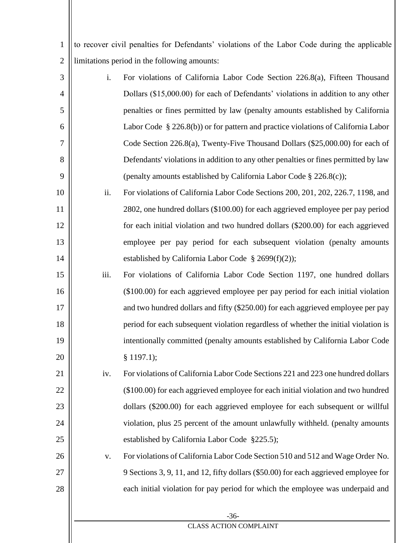| $\mathbf{1}$   |      | to recover civil penalties for Defendants' violations of the Labor Code during the applicable |
|----------------|------|-----------------------------------------------------------------------------------------------|
| $\overline{2}$ |      | limitations period in the following amounts:                                                  |
| 3              | i.   | For violations of California Labor Code Section 226.8(a), Fifteen Thousand                    |
| $\overline{4}$ |      | Dollars (\$15,000.00) for each of Defendants' violations in addition to any other             |
| 5              |      | penalties or fines permitted by law (penalty amounts established by California                |
| 6              |      | Labor Code $\S 226.8(b)$ or for pattern and practice violations of California Labor           |
| 7              |      | Code Section 226.8(a), Twenty-Five Thousand Dollars (\$25,000.00) for each of                 |
| 8              |      | Defendants' violations in addition to any other penalties or fines permitted by law           |
| 9              |      | (penalty amounts established by California Labor Code § 226.8(c));                            |
| 10             | ii.  | For violations of California Labor Code Sections 200, 201, 202, 226.7, 1198, and              |
| 11             |      | 2802, one hundred dollars (\$100.00) for each aggrieved employee per pay period               |
| 12             |      | for each initial violation and two hundred dollars (\$200.00) for each aggrieved              |
| 13             |      | employee per pay period for each subsequent violation (penalty amounts                        |
| 14             |      | established by California Labor Code § 2699(f)(2));                                           |
| 15             | iii. | For violations of California Labor Code Section 1197, one hundred dollars                     |
| 16             |      | (\$100.00) for each aggrieved employee per pay period for each initial violation              |
| 17             |      | and two hundred dollars and fifty (\$250.00) for each aggrieved employee per pay              |
| 18             |      | period for each subsequent violation regardless of whether the initial violation is           |
| 19             |      | intentionally committed (penalty amounts established by California Labor Code                 |
| 20             |      | § 1197.1);                                                                                    |
| 21             | iv.  | For violations of California Labor Code Sections 221 and 223 one hundred dollars              |
| 22             |      | (\$100.00) for each aggrieved employee for each initial violation and two hundred             |
| 23             |      | dollars (\$200.00) for each aggrieved employee for each subsequent or willful                 |
| 24             |      | violation, plus 25 percent of the amount unlawfully withheld. (penalty amounts                |
| 25             |      | established by California Labor Code §225.5);                                                 |
| 26             | V.   | For violations of California Labor Code Section 510 and 512 and Wage Order No.                |
| 27             |      | 9 Sections 3, 9, 11, and 12, fifty dollars (\$50.00) for each aggrieved employee for          |
| 28             |      | each initial violation for pay period for which the employee was underpaid and                |
|                |      | $-36-$                                                                                        |
|                |      | <b>CLASS ACTION COMPLAINT</b>                                                                 |
|                |      |                                                                                               |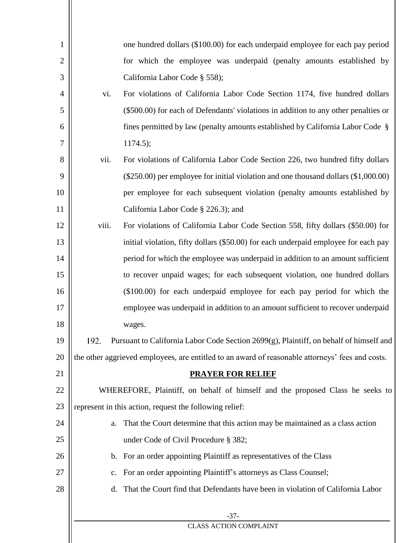| vi.<br>vii. | one hundred dollars (\$100.00) for each underpaid employee for each pay period<br>for which the employee was underpaid (penalty amounts established by<br>California Labor Code § 558);<br>For violations of California Labor Code Section 1174, five hundred dollars<br>(\$500.00) for each of Defendants' violations in addition to any other penalties or<br>fines permitted by law (penalty amounts established by California Labor Code §<br>$1174.5$ ;<br>For violations of California Labor Code Section 226, two hundred fifty dollars<br>(\$250.00) per employee for initial violation and one thousand dollars (\$1,000.00) |
|-------------|---------------------------------------------------------------------------------------------------------------------------------------------------------------------------------------------------------------------------------------------------------------------------------------------------------------------------------------------------------------------------------------------------------------------------------------------------------------------------------------------------------------------------------------------------------------------------------------------------------------------------------------|
|             |                                                                                                                                                                                                                                                                                                                                                                                                                                                                                                                                                                                                                                       |
|             |                                                                                                                                                                                                                                                                                                                                                                                                                                                                                                                                                                                                                                       |
|             |                                                                                                                                                                                                                                                                                                                                                                                                                                                                                                                                                                                                                                       |
|             |                                                                                                                                                                                                                                                                                                                                                                                                                                                                                                                                                                                                                                       |
|             |                                                                                                                                                                                                                                                                                                                                                                                                                                                                                                                                                                                                                                       |
|             |                                                                                                                                                                                                                                                                                                                                                                                                                                                                                                                                                                                                                                       |
|             |                                                                                                                                                                                                                                                                                                                                                                                                                                                                                                                                                                                                                                       |
|             |                                                                                                                                                                                                                                                                                                                                                                                                                                                                                                                                                                                                                                       |
|             |                                                                                                                                                                                                                                                                                                                                                                                                                                                                                                                                                                                                                                       |
|             | per employee for each subsequent violation (penalty amounts established by                                                                                                                                                                                                                                                                                                                                                                                                                                                                                                                                                            |
|             | California Labor Code § 226.3); and                                                                                                                                                                                                                                                                                                                                                                                                                                                                                                                                                                                                   |
| viii.       | For violations of California Labor Code Section 558, fifty dollars (\$50.00) for                                                                                                                                                                                                                                                                                                                                                                                                                                                                                                                                                      |
|             | initial violation, fifty dollars (\$50.00) for each underpaid employee for each pay                                                                                                                                                                                                                                                                                                                                                                                                                                                                                                                                                   |
|             | period for which the employee was underpaid in addition to an amount sufficient                                                                                                                                                                                                                                                                                                                                                                                                                                                                                                                                                       |
|             | to recover unpaid wages; for each subsequent violation, one hundred dollars                                                                                                                                                                                                                                                                                                                                                                                                                                                                                                                                                           |
|             | (\$100.00) for each underpaid employee for each pay period for which the                                                                                                                                                                                                                                                                                                                                                                                                                                                                                                                                                              |
|             | employee was underpaid in addition to an amount sufficient to recover underpaid                                                                                                                                                                                                                                                                                                                                                                                                                                                                                                                                                       |
|             | wages.                                                                                                                                                                                                                                                                                                                                                                                                                                                                                                                                                                                                                                |
| 192.        | Pursuant to California Labor Code Section 2699(g), Plaintiff, on behalf of himself and                                                                                                                                                                                                                                                                                                                                                                                                                                                                                                                                                |
|             | the other aggrieved employees, are entitled to an award of reasonable attorneys' fees and costs.                                                                                                                                                                                                                                                                                                                                                                                                                                                                                                                                      |
|             | <b>PRAYER FOR RELIEF</b>                                                                                                                                                                                                                                                                                                                                                                                                                                                                                                                                                                                                              |
|             | WHEREFORE, Plaintiff, on behalf of himself and the proposed Class he seeks to                                                                                                                                                                                                                                                                                                                                                                                                                                                                                                                                                         |
|             | represent in this action, request the following relief:                                                                                                                                                                                                                                                                                                                                                                                                                                                                                                                                                                               |
|             | That the Court determine that this action may be maintained as a class action                                                                                                                                                                                                                                                                                                                                                                                                                                                                                                                                                         |
|             | under Code of Civil Procedure § 382;                                                                                                                                                                                                                                                                                                                                                                                                                                                                                                                                                                                                  |
|             | For an order appointing Plaintiff as representatives of the Class                                                                                                                                                                                                                                                                                                                                                                                                                                                                                                                                                                     |
|             | For an order appointing Plaintiff's attorneys as Class Counsel;                                                                                                                                                                                                                                                                                                                                                                                                                                                                                                                                                                       |
|             | That the Court find that Defendants have been in violation of California Labor                                                                                                                                                                                                                                                                                                                                                                                                                                                                                                                                                        |
|             | $-37-$                                                                                                                                                                                                                                                                                                                                                                                                                                                                                                                                                                                                                                |
|             | <b>CLASS ACTION COMPLAINT</b>                                                                                                                                                                                                                                                                                                                                                                                                                                                                                                                                                                                                         |
|             | a.<br>b.<br>c.<br>d.                                                                                                                                                                                                                                                                                                                                                                                                                                                                                                                                                                                                                  |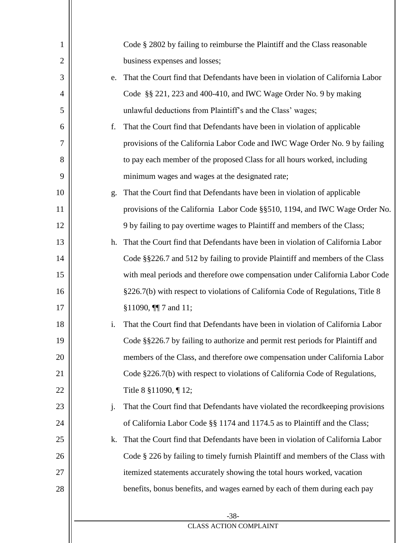| $\mathbf{1}$   |    | Code § 2802 by failing to reimburse the Plaintiff and the Class reasonable        |
|----------------|----|-----------------------------------------------------------------------------------|
| $\overline{2}$ |    | business expenses and losses;                                                     |
| 3              | e. | That the Court find that Defendants have been in violation of California Labor    |
| 4              |    | Code §§ 221, 223 and 400-410, and IWC Wage Order No. 9 by making                  |
| 5              |    | unlawful deductions from Plaintiff's and the Class' wages;                        |
| 6              | f. | That the Court find that Defendants have been in violation of applicable          |
| $\overline{7}$ |    | provisions of the California Labor Code and IWC Wage Order No. 9 by failing       |
| 8              |    | to pay each member of the proposed Class for all hours worked, including          |
| 9              |    | minimum wages and wages at the designated rate;                                   |
| 10             | g. | That the Court find that Defendants have been in violation of applicable          |
| 11             |    | provisions of the California Labor Code §§510, 1194, and IWC Wage Order No.       |
| 12             |    | 9 by failing to pay overtime wages to Plaintiff and members of the Class;         |
| 13             |    | h. That the Court find that Defendants have been in violation of California Labor |
| 14             |    | Code §§226.7 and 512 by failing to provide Plaintiff and members of the Class     |
| 15             |    | with meal periods and therefore owe compensation under California Labor Code      |
| 16             |    | §226.7(b) with respect to violations of California Code of Regulations, Title 8   |
| 17             |    | §11090, ¶ 7 and 11;                                                               |
| 18             | i. | That the Court find that Defendants have been in violation of California Labor    |
| 19             |    | Code §§226.7 by failing to authorize and permit rest periods for Plaintiff and    |
| 20             |    | members of the Class, and therefore owe compensation under California Labor       |
| 21             |    | Code §226.7(b) with respect to violations of California Code of Regulations,      |
| 22             |    | Title 8 §11090, ¶ 12;                                                             |
| 23             | j. | That the Court find that Defendants have violated the record keeping provisions   |
| 24             |    | of California Labor Code §§ 1174 and 1174.5 as to Plaintiff and the Class;        |
| 25             | k. | That the Court find that Defendants have been in violation of California Labor    |
| 26             |    | Code § 226 by failing to timely furnish Plaintiff and members of the Class with   |
| 27             |    | itemized statements accurately showing the total hours worked, vacation           |
| 28             |    | benefits, bonus benefits, and wages earned by each of them during each pay        |
|                |    | $-38-$                                                                            |
|                |    | <b>CLASS ACTION COMPLAINT</b>                                                     |
|                |    |                                                                                   |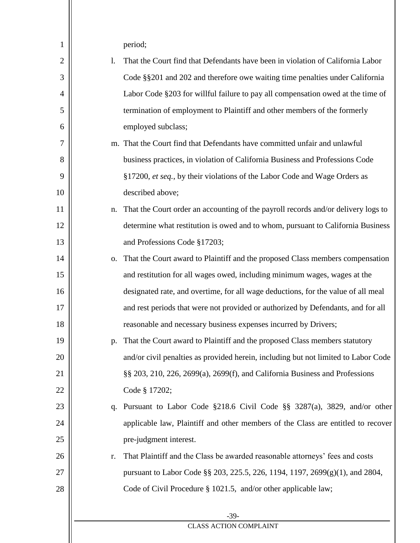| 1              |    | period;                                                                            |
|----------------|----|------------------------------------------------------------------------------------|
| $\overline{2}$ | 1. | That the Court find that Defendants have been in violation of California Labor     |
| 3              |    | Code §§201 and 202 and therefore owe waiting time penalties under California       |
| 4              |    | Labor Code §203 for willful failure to pay all compensation owed at the time of    |
| 5              |    | termination of employment to Plaintiff and other members of the formerly           |
| 6              |    | employed subclass;                                                                 |
| 7              |    | m. That the Court find that Defendants have committed unfair and unlawful          |
| 8              |    | business practices, in violation of California Business and Professions Code       |
| 9              |    | §17200, et seq., by their violations of the Labor Code and Wage Orders as          |
| 10             |    | described above;                                                                   |
| 11             | n. | That the Court order an accounting of the payroll records and/or delivery logs to  |
| 12             |    | determine what restitution is owed and to whom, pursuant to California Business    |
| 13             |    | and Professions Code §17203;                                                       |
| 14             | 0. | That the Court award to Plaintiff and the proposed Class members compensation      |
| 15             |    | and restitution for all wages owed, including minimum wages, wages at the          |
| 16             |    | designated rate, and overtime, for all wage deductions, for the value of all meal  |
| 17             |    | and rest periods that were not provided or authorized by Defendants, and for all   |
| 18             |    | reasonable and necessary business expenses incurred by Drivers;                    |
| 19             | p. | That the Court award to Plaintiff and the proposed Class members statutory         |
| 20             |    | and/or civil penalties as provided herein, including but not limited to Labor Code |
| 21             |    | §§ 203, 210, 226, 2699(a), 2699(f), and California Business and Professions        |
| 22             |    | Code § 17202;                                                                      |
| 23             | q. | Pursuant to Labor Code §218.6 Civil Code §§ 3287(a), 3829, and/or other            |
| 24             |    | applicable law, Plaintiff and other members of the Class are entitled to recover   |
| 25             |    | pre-judgment interest.                                                             |
| 26             | r. | That Plaintiff and the Class be awarded reasonable attorneys' fees and costs       |
| 27             |    | pursuant to Labor Code §§ 203, 225.5, 226, 1194, 1197, 2699(g)(1), and 2804,       |
| 28             |    | Code of Civil Procedure § 1021.5, and/or other applicable law;                     |
|                |    |                                                                                    |
|                |    | $-39-$<br><b>CLASS ACTION COMPLAINT</b>                                            |
|                |    |                                                                                    |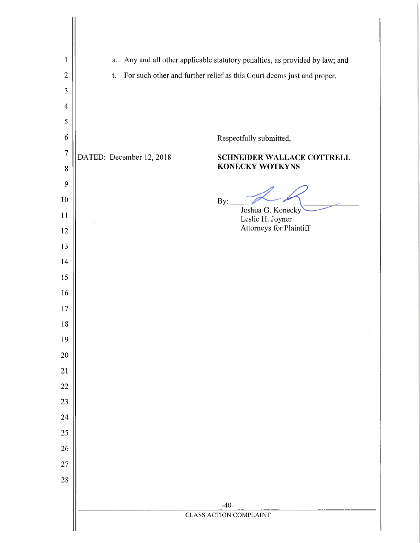| S.                       | Any and all other applicable statutory penalties, as provided by law; and |
|--------------------------|---------------------------------------------------------------------------|
| t.                       | For such other and further relief as this Court deems just and proper.    |
|                          |                                                                           |
|                          |                                                                           |
|                          |                                                                           |
|                          | Respectfully submitted,                                                   |
| DATED: December 12, 2018 | SCHNEIDER WALLACE COTTRELL<br>KONECKY WOTKYNS                             |
|                          |                                                                           |
|                          | By:                                                                       |
|                          | Joshua G. Konecky<br>Leslie H. Joyner                                     |
|                          | Attorneys for Plaintiff                                                   |
|                          |                                                                           |
|                          |                                                                           |
|                          |                                                                           |
|                          |                                                                           |
|                          |                                                                           |
|                          |                                                                           |
|                          |                                                                           |
|                          |                                                                           |
|                          |                                                                           |
|                          |                                                                           |
|                          |                                                                           |
|                          |                                                                           |
|                          |                                                                           |
|                          |                                                                           |
|                          |                                                                           |
|                          |                                                                           |
|                          | $-40-$                                                                    |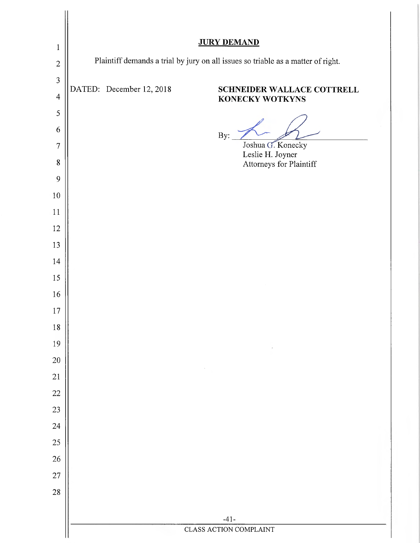| 1                       | <b>JURY DEMAND</b> |                                                                                  |                                                      |  |  |  |  |  |  |
|-------------------------|--------------------|----------------------------------------------------------------------------------|------------------------------------------------------|--|--|--|--|--|--|
| $\overline{2}$          |                    | Plaintiff demands a trial by jury on all issues so triable as a matter of right. |                                                      |  |  |  |  |  |  |
| $\overline{\mathbf{3}}$ |                    |                                                                                  |                                                      |  |  |  |  |  |  |
| $\overline{4}$          |                    | DATED: December 12, 2018                                                         | SCHNEIDER WALLACE COTTRELL<br><b>KONECKY WOTKYNS</b> |  |  |  |  |  |  |
| 5                       |                    |                                                                                  |                                                      |  |  |  |  |  |  |
| 6                       |                    |                                                                                  | By:                                                  |  |  |  |  |  |  |
| $\overline{7}$          |                    |                                                                                  | Joshua G. Konecky                                    |  |  |  |  |  |  |
| $\boldsymbol{8}$        |                    |                                                                                  | Leslie H. Joyner<br>Attorneys for Plaintiff          |  |  |  |  |  |  |
| 9                       |                    |                                                                                  |                                                      |  |  |  |  |  |  |
| 10                      |                    |                                                                                  |                                                      |  |  |  |  |  |  |
| 11                      |                    |                                                                                  |                                                      |  |  |  |  |  |  |
| 12                      |                    |                                                                                  |                                                      |  |  |  |  |  |  |
| 13                      |                    |                                                                                  |                                                      |  |  |  |  |  |  |
| 14                      |                    |                                                                                  |                                                      |  |  |  |  |  |  |
| 15                      |                    |                                                                                  |                                                      |  |  |  |  |  |  |
| 16                      |                    |                                                                                  |                                                      |  |  |  |  |  |  |
| 17                      |                    |                                                                                  |                                                      |  |  |  |  |  |  |
| 18                      |                    |                                                                                  |                                                      |  |  |  |  |  |  |
| 19                      |                    |                                                                                  |                                                      |  |  |  |  |  |  |
| $20\,$<br>21            |                    |                                                                                  |                                                      |  |  |  |  |  |  |
| $22\,$                  |                    |                                                                                  |                                                      |  |  |  |  |  |  |
| 23                      |                    |                                                                                  |                                                      |  |  |  |  |  |  |
| 24                      |                    |                                                                                  |                                                      |  |  |  |  |  |  |
| $25\,$                  |                    |                                                                                  |                                                      |  |  |  |  |  |  |
| 26                      |                    |                                                                                  |                                                      |  |  |  |  |  |  |
| $27\,$                  |                    |                                                                                  |                                                      |  |  |  |  |  |  |
| $28\,$                  |                    |                                                                                  |                                                      |  |  |  |  |  |  |
|                         |                    |                                                                                  |                                                      |  |  |  |  |  |  |
|                         |                    |                                                                                  | $-41-$<br>CLASS ACTION COMPLAINT                     |  |  |  |  |  |  |
|                         |                    |                                                                                  |                                                      |  |  |  |  |  |  |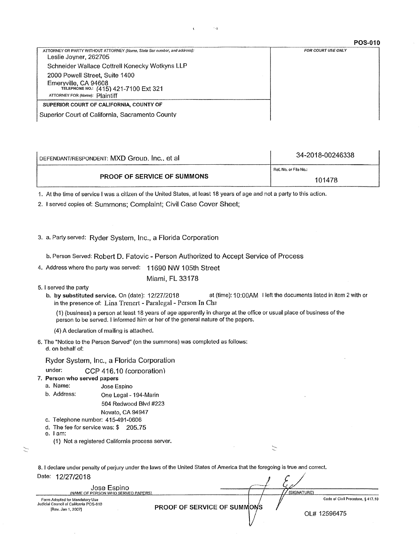#### POS-010

| ATTORNEY OR PARTY WITHOUT ATTORNEY (Name, State Bar number, and address);<br>Leslie Joyner, 262705                                | <b>FOR COURT USE ONLY</b> |
|-----------------------------------------------------------------------------------------------------------------------------------|---------------------------|
| Schneider Wallace Cottrell Konecky Wotkyns LLP                                                                                    |                           |
| 2000 Powell Street, Suite 1400<br>Emeryville, CA 94608<br>TELEPHONE NO.: (415) 421-7100 Ext 321<br>ATTORNEY FOR (Name): Plaintiff |                           |
| SUPERIOR COURT OF CALIFORNIA, COUNTY OF                                                                                           |                           |
| Superior Court of California, Sacramento County                                                                                   |                           |

| DEFENDANT/RESPONDENT: MXD Group. Inc., et al. | 34-2018-00246338      |  |
|-----------------------------------------------|-----------------------|--|
|                                               | Ref. No. or File No.: |  |
| <b>PROOF OF SERVICE OF SUMMONS</b>            | 101478                |  |

1. At the time of service I was a citizen of the United States, at least 18 years of age and not a party to this action.

2. I served copies of: Summons; Complaint; Civil Case Cover Sheet;

#### 3. a. Party served: Ryder System, Inc., a Florida Corporation

b. Person Served: Robert D. Fatovic - Person Authorized to Accept Service of Process

4. Address where the party was served: 11690 NW 105th Street

#### Miami, FL 33178

- 5. I served the party
	- b. by substituted service. On (date): 12/27/2018 at (time): 10:00AM I left the documents listed in item 2 with or in the presence of: Lina Trenert - Paralegal - Person In Cha

(1) (business) a person at least 18 years of age apparently in charge at the office or usual place of business of the person to be served. I informed him or her of the general nature of the papers.

(4) A declaration of mailing is attached.

6. The "Notice to the Person Served" (on the summons) was completed as follows: d. on behalf of:

Ryder System, Inc., a Florida Corporation

under: CCP 416.10 (corporation)

#### 7. Person who served papers

- a. Name: Jose Espino
- b. Address: One Legal - 194-Marin

504 Redwood Blvd #223 Novato, CA 94947

- c. Telephone number: 415-491-0606
- d. The fee for service was: \$205.75
- e. I am:
	- (1) Not a registered California process server.

 $\geq$ 

8. I declare under penalty of perjury under the laws of the United States of America that the foregoing is true and correct. Date: 12/27/2018 ∕  $\lambda$ 

| Jose Espino                                                                                                    |                                    |  | (SIGNATURE)                       |
|----------------------------------------------------------------------------------------------------------------|------------------------------------|--|-----------------------------------|
| (NAME OF PERSON WHO SERVED PAPERS)<br>Form Adopted for Mandatory Use<br>Judicial Council of California POS-010 |                                    |  | Code of Civil Procedure, § 417.10 |
| [Rev. Jan 1, 2007]                                                                                             | <b>PROOF OF SERVICE OF SUMMONS</b> |  | OL# 12596475                      |